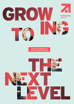

**Quarterly Statement for the First Quarter of 2016**

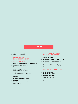# **Content**

- ProSiebenSat.1 and Q1 2016 at a Glance
- Actual Figures and Forecasts

## GROUP INTERIM MANAGEMENT REPORT

IMPORTANT EVENTS Q1 2016

#### **Report on the Economic Position: Q1 2016**

- Business and Industry Environment
- Comparison of Actual and Expected Business Performance
- Major Influencing Factors on
- Financial Position and Performance
- Group Earnings
- Group Financial Position and Performance
- Business Development of the Segments
- Employees
- **Risk and Opportunity Report**
- **Outlook**
- Future Business and Industry Environment
- Company Outlook

## CONSOLIDATED INTERIM FINANCIAL STATEMENT

- **Income Statement**
- **Statement of Comprehensive Income**
- **Statement of Financial Position**
- **Cash Flow Statement**
- **Statement of Changes in Equity**
- **Notes**

# ADDITIONAL INFORMATION

- **Group Key Figures: Multi-Year Overview**
- **Segment Key Figures: Multi-Year Overview**
- **Editorial Information**
- **Financial Calendar**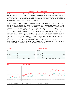# **PROSIEBENSAT.1 AT A GLANCE**

ProSiebenSat.1 Group is one of the most successful independent media companies in Europe with a strong lead in TV and the digital market. In the first quarter of 2016, the Group increased its revenues by 22% to EUR 802 million, while recurring EBITDA rose by 12% to EUR 170 million. The Company employs a total of 5,630 people. The most important revenue market is Germany. Here, the ProSiebenSat.1 share has been included into the German equity index DAX since March 2016.

Advertising-financed free TV is the Group's core business. The station family comprising SAT.1, ProSieben, kabel eins, sixx, SAT.1 Gold, and ProSieben MAXX is the Number 1 in the German audience and TV advertising markets. The Group has tapped into an additional attractive business area through the distribution of its television channels in HD quality. At the same time, the Group successfully networks the wide reach of its TV business with a strong digital unit. Already today, ProSiebenSat.1 is Germany's leading video marketer on the Internet and with maxdome or Studio71 one of the most successful providers of digital entertainment. However, the Internet is not only changing the entertainment industry, digital media also influence consumer behavior. This is why, ProSiebenSat.1 has built up a successful e-commerce business of digital platforms in recent years that is now one of the Group's most important growth drivers. This broadcasting, digital entertainment and commerce portfolio is supplemented by the international program production and distribution company Red Arrow. Thus, ProSiebenSat.1 has a broadly diversified revenue and earnings base and is also growing dynamically in the first quarter of 2016. By 2018, ProSiebenSat.1 intends to increase its revenues by EUR 1.85 billion up to around EUR 4.2 billion, compared to 2012.





All information relates to continuing operations.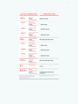# **ACTUAL FIGURES 2015**

# **FORECASTS 2016**

| $+13%$                                                                                                                          | <b>Revenues</b><br><b>Increase</b><br>to EUR 3,261 million                                     | <b>Significant increase</b>                            |
|---------------------------------------------------------------------------------------------------------------------------------|------------------------------------------------------------------------------------------------|--------------------------------------------------------|
| $+4%$                                                                                                                           | <b>Broadcasting</b><br>German-speaking<br>Increase<br>to EUR 2,152 million                     | <b>Slight increase</b>                                 |
| +39%                                                                                                                            | Digital & Adjacent<br><b>Increase</b><br>to EUR 846 million                                    | <b>Significant increase</b>                            |
| +30%                                                                                                                            | <b>Content Production &amp;</b><br><b>Global Sales</b><br>Increase<br>to EUR 262 million       | <b>Significant increase</b>                            |
| $+9%$                                                                                                                           | <b>Recurring EBITDA</b><br><b>Increase</b><br>to 926 Mio Euro                                  | Mid to high single-digit increase                      |
| $+4%$                                                                                                                           | <b>Broadcasting</b><br>German-speaking<br>Increase<br>to EUR 734 million                       | <b>Slight increase</b>                                 |
| +32%                                                                                                                            | Digital & Adjacent<br><b>Increase</b><br>to EUR 170 million                                    | <b>Significant increase</b>                            |
| $+31%$                                                                                                                          | <b>Content Production &amp;</b><br><b>Global Sales</b><br><b>Increase</b><br>to EUR 25 million | <b>Significant increase</b>                            |
| $+12%$                                                                                                                          | <b>Underlying</b><br>net income<br>Increase<br>to EUR 468 million                              | Mid to high single-digit increase                      |
| 2.1                                                                                                                             | Leverage ratio <sup>1</sup>                                                                    | $1.5 - 2.5$                                            |
| 29.5%                                                                                                                           | <b>German</b><br>TV audience market <sup>2</sup><br>Growth by<br>0.8 percentage points         | Consolidate leading market position<br>at a high level |
| All information relates to continuing operations.<br>1 Adjusted for LTM recurring EBITDA from the<br>Eastern European business. |                                                                                                | 2 Relevant target group of 14- to 49-year-olds.        |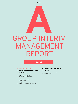# GROUP INTERIM **A** MANAGEMENT REPORT

### **Content**

#### 05 IMPORTANT EVENTS Q1 2016

#### **06 Report on the Economic Position: Q1 2016**

- 06 Business and Industry Environment
- 10 Comparison of Actual and Expected Business Performance
- 11 Major Influencing Factors on Financial Position and Performance
- 13 Group Earnings
- 16 Group Financial Position and Performance
- 21 Business Development of the Segments
- 22 Employees
- **23 Risk and Opportunity Report**
- **24 Outlook**
- 24 Future Business and Industry Environment
- 25 Company Outlook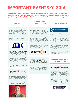# **IMPORTANT EVENTS Q1 2016**

**A PORTANT EVENTS Q12016**<br>
ProsiehenSat.1 Group is dynamically growing thanks to its strong TV portfolio and the consistent<br>
digitalization of its value-adding streams. The capital market has acknowledged the success of **digitalization of its value-adding streams. The capital market has acknowledged the success of this growth strategy. In March, ProSiebenSat.1 has been included into the leading index in Germany: the DAX.**

#### **COMPANY**

# **BROADCASTING GERMAN-SPEAKING**

#### **FEBRUARY**

Higher dividend reflects earnings-oriented distribution policy. ProSiebenSat.1 Media SE will propose a dividend increase by 12.5% to EUR 1.80 per common share to the Annual General Meeting (previous year: EUR 1.60). This equates to a payout ratio of 82.5% of underlying net income (previous year: 81.6%). Therewith, we want to continue our longstanding dividend policy that is based on our success.



a

#### **MARCH**

ProSiebenSat.1 to be included into the DAX. (a) As first media company, ProSiebenSat.1 Media SE has been included in the leading index in Germany (the DAX) since March 21, 2016. Thus, the Group is one of the 30 largest listed corporations in Germany following market capitalization and trading volume. Over the past five years, the share's value has more than tripled. In 2016, the share started with a profit as well: It reached its highest closing price at EUR 48.66 on March 1 and was quoted at EUR 45.19 at the end of the quarter (previous year: EUR 45.71). The median price target is EUR 51.80.

#### MARCH

Expansion of the Executive Board. (b) Jan David Frouman has been a member of the

Executive Board of ProSiebenSat.1 Media SE since March 1, 2016. The newly created Executive Board department, Content & Broadcasting, comprises TV activities with all station brands and the Group's content strategy in Germany, Austria and Switzerland. Frouman has been working for ProSiebenSat.1 since 2004; as CEO and Chairman, he remains in charge of the Red Arrow Entertainment Group.



#### FEBRUARY

ProSiebenSat.1 expands partnership with Zattoo and MagineTV. (c) The new agreement with Zattoo also comprises the four pay TV stations ProSieben FUN, SAT.1 emotions, kabel eins CLASSICS and wetter.com TV in addition to the TV Group's catch-up contents. The free TV stations have been available as part of the Zattoo range since April 2014. Zattoo is the largest Internet and TV provider across Europe and has around two million active users per month. On MagineTV our pay TV stations are also available in addition to our free TV stations since February. This partnerships underline our strategy to offer programs through as many distribution channels as possible and to generate revenues that are independent from the economy in addition to traditional TV advertising.



#### FEBRUARY

ProSiebenSat.1 complements its marketing offer with digital-out-of-home. The Group has concluded an exclusive partnership with Cittadino. As a result, ProSiebenSat.1 is now able to market digital screens in exclusive and high footfall locations — including ten airports, 390 gas stations and various public places in major cities. With this collaboration, we will reach more than 225 million additional contacts each month and offer advertising customers the entire portfolio on film screens: from TV to online and mobile platforms to digital signage

### **DIGITAL & ADJACENT**



## JANUARY

ProSiebenSat.1 expands its investment portfolio. With its business models mediafor-equity and media-for-revenue-share, ProSiebenSat.1 provides media services to promising Internet entities and uses its high TV reach to develop e-commerce companies into successful brands. Start-up companies in turn provide ProSiebenSat.1 with a share in their value creation or sales increase — without large cash investments. Currently, the Group's portfolio of investments comprises about 60 assets. Against this backdrop, ProSiebenSat.1 concluded further contracts in the first quarter. This include the online marketplace for car sales wirkaufendeinauto.de (d), the organic juice producer Antidote and DrSlym, a manufacturer of diet products.

# **CONTENT PRODUCTION & GLOBAL SALES**

#### JANUARY

Red Arrow grows in key English-speaking markets. Red Arrow is growing organically and at the same time is expanding its production network through acquisitions. In January, the entity acquired a majority interest in Dorsey Pictures (e) (previously known as Orion Entertainment). This is its seventh investment in the US, the most significant TV market worldwide. Since February, the Cove Pictures joint venture has also strengthened our portfolio with locations in the US and the UK. Together with the international production company Smuggler, Red Arrow produces high-value fiction and comedy formats and factual programs for the global market.

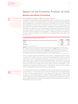Rounding percentage figures: Due to rounding, it is possible that individual figures in these Quarterly Statement do not add exactly to the totals shown and that the percentage figures presented do not reflect exactly the absolute figures they relate to.

# Report on the Economic Position: Q1 2016

# **Business and Industry Environment**

#### Development of Audience Shares and User Figures

ProSiebenSat.1 Group pursues a multi-station strategy on the TV markets in Germany, Austria and Switzerland. Our free TV stations address different core target groups and thus complement each other. ProSiebenSat.1 has successfully launched four new stations (sixx, SAT.1 Gold, ProSieben MAXX and Puls 8) in the last six years, increasing its reach as a result. As of autumn 2016, a new docu channel also will enlarge the station family. Complementary programming offers various advantages: The stations cover nearly all demographic viewer groups for advertising customers. Thus, we have gained new customers for the TV medium. With its broad portfolio, the Group can fully utilize its extensive rights from license packages in a target group-specific environment. Furthermore, short-term fluctuations in the market share of individual stations can be offset within the station family.

#### **ProSiebenSat.1 Group audience shares by country**

| in percent  | Q1 2016 | Q1 2015  |
|-------------|---------|----------|
| Germany     | 28.1    | 28.9<br> |
| Austria     | 23.5    | 21.5<br> |
| Switzerland | 18.2    | 18.3     |

Figures are based on 24 hours (Mon–Sun).

Germany: SAT1, ProSieben, kabel eins, sixx, SAT1 Gold, ProSieben MAXX; advertising-relevant target group 14–49 year olds; source: AGF in cooperation with GfK/TV Scope 6.0/SevenOne Media Committees Representation. Austria: SAT.1 Österreich, ProSieben Austria, kabel eins austria, sixx Austria, SAT.1 Gold Österreich, ProSieben MAXX Austria, PULS 4; advertising-relevant target group 12 –49 year olds; source: AGTT/GfK Fernsehforschung/Evogenius Reporting. Switzerland: SAT.1 Schweiz, ProSieben Schweiz, kabel eins Schweiz, sixx Schweiz, SAT.1 Gold Schweiz, ProSieben MAXX Schweiz, Puls 8 (since October 8, 2015); advertising-relevant target group 15–49 year olds; market shares relate to the German-speaking part of Switzerland D–CH; source: Mediapulse TV Panel.

In the core market in Germany, ProSiebenSat.1 is the number 1 in the audience market. The free TV stations SAT.1, ProSieben, kabel eins, sixx, SAT.1 Gold and ProSieben MAXX achieved a combined market share of 28.1% among viewers aged between 14 and 49 in the first quarter of 2016. The market share in January usually turned out to be somewhat weaker. The decline of 0.7 percentage points is attributable primarily to the strong quarter of the previous year: In 2015, ProSiebenSat.1 achieved the highest group market share in a first quarter in nine years. Nevertheless, a clear growth trend was apparent during this quarter in 2016. Between January (27.3%) and March (28.8%), ProSiebenSat.1 stations improved by 1.5 percentage points.



SAT.1 Gold saw particularly positive development among the newer stations. The station saw an increase among 14- to 49-year-olds and in the relevant target group of women aged between 40 and 64 (+0.1 percentage points and +0.5 percentage points respectively compared to the previous year). Among the large stations, ProSieben showed a stable development with a market share of 10.8% among viewers aged between 14 and 49, while SAT.1 lost market shares year-onyear. The tables below give an overview of the development of advertising-financed TV stations of ProSiebenSat.1 in the German market.

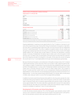#### **Audience shares of ProSiebenSat.1 stations in Germany Target group 14- to 49-year-olds**

| in percent     | Q1 2016 | 2015 |
|----------------|---------|------|
| SAT.1          |         |      |
| ProSieben      | 10.8    | 10.8 |
| kabel eins     | 5.0     |      |
| <b>SIXX</b>    |         |      |
| SAT.1 Gold     |         |      |
| ProSieben MAXX |         |      |

#### **Relevant target groups**

| in percent                             | 01 2016 | 01 2015                          |
|----------------------------------------|---------|----------------------------------|
| SAT.1: Adults 14- to 59-year-olds      |         |                                  |
| ProSieben: Adults 14-to 39-year-olds   | 14.6    |                                  |
| kabel eins: Adults 14-to 49-year-olds  |         | ******************************** |
| sixx: Women 14-to 39-year-olds         |         |                                  |
| SAT.1 Gold: Women 40-to 64-year-olds   |         |                                  |
| ProSieben MAXX: Men 14-to 39-year-olds |         |                                  |

Figures are based on 24 hours (Mon–Sun). Germany: SAT.1, ProSieben, kabel eins, sixx, SAT.1 Gold, ProSieben MAXX; source: AGF in cooperation with GfK/TV Scope 6.0/SevenOne Media Committees Representation

Ongoing digitalization is opening up new opportunities for free TV stations in Germany to refinance their programming range. Among other things, the distribution of programs in high definition (HD) offers a substantial growth opportunity with recurring revenues that are independent from the TV advertising market. This is why, in addition to audience shares, HD user numbers are also gaining increasing importance for the Group. For example, the number of users of the digital satellite platform HD+, through which private stations in Germany are distributed, is growing steadily. In Germany, ProSiebenSat.1 HD stations had 6.5 million users in the first quarter of 2016 (previous year: 5.6 million). Here, we participate in the technical service fees that end customers pay to the respective providers for programs in HD quality. At the same time, we are increasing the overall reach of our TV and digital platforms through external distribution partnerships.

Because of technical innovations, such as television in HD quality on large screens, the TV medium is gaining attractiveness. At the same time, there is an increase in video usage through the Internet on laptops or tablets. ProSiebenSat.1 Group has therefore also established a high-reach brand portfolio in the digital business. In January 2016, ProSiebenSat.1 websites reached around 34 million unique users in Germany (previous month: around 33 million unique users). This is based on strong TV brands and their content which we are synergistically renewing and distributing via digital platforms. At the same time, we are developing and producing contents exclusively for our digital portfolio — for the multi-channel network (MCN) Studio71, for example. With currently about 4.3 billion video views per month, it is one of the five largest MCNs worldwide.

In addition to primarily advertising-financed online platforms, the Group also operates the videoon-demand (VoD) portal maxdome (VoD). In the first quarter of 2016, the number of subscription video-on-demand (SVoD) users increased by approximately 83% and the number of video views rose by approximately 55%. The online video library generates both revenues from subscriptions (SVoD) and pay-per-view. With over 50,000 titles, it offers the most extensive range in Germany. maxdome is available on traditional TV sets, PCs and mobile phones.

#### Development of Economy and Advertising Market

In 2015, the German economy grew by 1.7%. In the final quarter, gross domestic product (GDP) rose by 0.3% in real terms compared to the previous quarter. Key growth drivers came particularly from the domestic economy, which also shows a positive picture for 2016.

Important Events Q1 2016, page 5.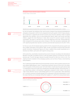#### **Development of gross domestic product in Germany**

in percent, change vs. previous quarter





僵

Future Business and Industry Environment, page 24.

Future Business and Industry Environment,

Impact of General nditions on the Business Performance, page 11.

page 24.

For the first quarter, the Institutes of the Joint Economic Analysis Group (Gemeinschaftsdiagnose) anticipates a real growth in GDP of 0.6% compared to the fourth quarter of 2015. Private consumption in particular is supporting the German economy and consumer spending is likely to expand significantly. Key indicators, such as rising employment figures, higher real incomes and lower inflation, suggest this trend. Revenues in retail, which account for around a quarter of private consumption, has grown in real terms by 2.0% at the beginning of the year (January/February 2016) compared to the previous-year period. Already in 2015, they had grown substantially with 2.9%. Significant growth driver was the e-commerce and mail order business at 6.3% (2015: +9.4%).

For the euro zone, the ifo Institute expects growth of 0.4% compared to the previous quarter and thus a stable continuation of the uptrend. Again, private consumption should provide important growth momentum: Employment figures are rising; in addition time private households are relieved by low inflation, particularly with regard to energy prices.

At the same time, uncertainties characterize the economic forecast. According to the International Monetary Fund (IMF), the global economy in 2015 saw weaker growth at 3.1% than the 3.4% in the previous year. The IMF has again reduced its growth forecast for 2016 from 3.4% to 3.2%. The ongoing economic slowdown of key emerging countries, such as China or Russia, is also lessening these prospects.

The TV advertising market reflects the German domestic economy, which is positive overall. According to Nielsen Media Research, gross TV advertising investment rose by 10.4% to EUR 3,333 million in the first quarter of 2016 (previous year: EUR 3,020 million). Growth was driven particularly by high TV investments in the service, body care, and pharmacy and health industries. At the same time, TV as an advertising medium is still growing in significance compared to other media. In the period under review, television rose by 1.5 percentage points to 47.7% on a gross basis. Video advertising on TV commits consumers to brands and pays off for advertisers in the short and long term. It is for this reason that they are increasingly shifting their budgets to TV, while Print is losing market shares.

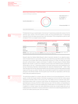



Business Development of the Segments, page 21.

ProSiebenSat.1 Group is market leader in the German TV advertising market with a share of 42.4% (previous year: 43.6%). In the first quarter of 2016, the Group generated gross TV advertising revenues of EUR 1,413 million (previous year: EUR 1,316 million). This corresponds to a year-on-year increase of 7.4% in our largest revenue market.

|             | Development of the TV<br>advertising market in Q1<br>2016 | Market share<br>ProSiebenSat.1 | Market share<br>ProSiebenSat.1 |
|-------------|-----------------------------------------------------------|--------------------------------|--------------------------------|
| in percent  | Change against previous year                              | Q1 2016                        | Q1 2015                        |
| Germany     | $+10.4$                                                   | 42.4                           | 43.6                           |
| Austria     | $+5.9$                                                    | 36.3                           | 35.7                           |
| Switzerland | $+9.0$                                                    | 28.0                           | 29.0                           |

Germany: January - March, gross, Nielsen Media. Austria: January - March, gross, Media Focus. Switzerland: January - March, the advertising market shares relate to the German-speaking part of Switzerland, gross, Media Focus.

Research data from Nielsen Media Research deliver important indicators for an objective assessment of market trends on a gross basis. However, gross advertising expenditure allows only limited conclusions to be drawn about actual advertising revenues as it does not take into account discounts, self-promotion or agency commission. In addition, the gross figures of Nielsen Media Research also include TV spots from media-for-revenue-share and media-for-equity transactions. Official data on the net TV advertising market for the past financial year will be published by the German Advertising Federation (Zentralverband der deutschen Werbewirtschaft — ZAW) in May 2016. We expect the German advertising market to see net growth in the low single-digit percentage range over the year as a whole. Thereby, we are also likely to benefit from a positive environment and grow in line with the market. The first quarter was in line with our expectations, with the early Easter date giving additional dynamic.



Nielsen Media Research designates gross figures for the online advertising market in Germany, excluding among others Google/YouTube, Facebook.

The advertising budget for in-stream video ads continue to see strong development. In the first quarter of 2016, the market volume in Germany increased by 40.4% to EUR 124.1 million (gross) compared to EUR 88.4 million in the previous year. This relates to forms of Internet video advertising shown before, after or during a video stream. By marketing them, ProSiebenSat.1 Group generated gross revenues of EUR 46.3 million (previous year: EUR 36.3 million), corresponding to a year-on-year increase by 27.6% and a leading gross market share of 37.3% (previous year: 41.0%). In addition to in-stream videos, the online advertising market also includes display ads such as traditional banners and buttons. Overall, investments in online forms of advertising declined by 1.6% to EUR 724.4 million (previous year: EUR 736.4 million).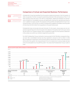

Future Business and Industry Environment, page 24.

Business Development of the Segments, page 21.

# **Comparison of Actual and Expected Business Performance**

ProSiebenSat.1 Group has benefited from the positive market environment in the first quarter of 2016. As expected, it further increased its advertising revenues in the core business of free TV. All other business areas were also in line with our expectations. Against this backdrop, we dynamically increased our consolidated revenues and significantly improved the operating earnings figures. In addition to organic growth, the expansion of the portfolio strengthened the Group's revenue performance. Over the year as a whole, ProSiebenSat.1 budgeted a profitable revenue growth of more than EUR 200 million from acquisitions in the past financial year.

ProSiebenSat.1 does not provide intra-year forecasts. For this reason, actual values are not compared to expected figures for the first quarter here. Based on the positive start to the year overall, we still confirm our Company Outlook, which is published on page 25 of this Quarterly Statement. In this context, we confirm our mid-term target at the same time:

For 2018, ProSiebenSat.1 Group is aiming for revenue growth of EUR 1.85 billion compared to financial year 2012. Consolidated revenues are thus expected to amount to EUR 4.2 billion in 2018. Recurring EBITDA is expected to rise by EUR 350 million to almost EUR 1.1 billion in the same period. At the end of the quarter, the Group achieved 57% of its medium-term revenue target and also 57% of its anticipated recurring EBITDA growth. This shows that ProSiebenSat.1 Group is right on track.

# **Revenue growth targets 2018 and degree of achievement Q1 2016**

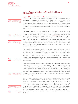# **Major Influencing Factors on Financial Position and Performance**

#### Impact of General Conditions on the Business Performance

In the first quarter of 2016, private household spending further increased and positively influenced advertising customers' willingness to invest. The Company generates a large amount of its consolidated revenues from video advertising on TV. In the first quarter of 2016, they amounted to EUR 454 million (previous year: EUR 437 million) or 57% of total revenues (previous year: 67%). 50% of this was attributable to Germany, the principal revenue market (previous year: 59%). ProSiebenSat.1 is the leading advertising sales company here and also has the highest reach in the audience market.

Reach is a key criterion for the pricing of advertising and thus for our budget planning. In 2015, the German TV stations reported the highest market share in ten years for the 14 to 49 year old target group. In the first quarter of 2016, we asserted our leading market position at 28.1% (previous year: 28.9%). The Group particularly increased its reach among female viewers, who represent an important target group for the advertising industry. In addition, structural changes affected the willingness to invest of advertising customers and thus market growth, resulting in the price level being stimulated. The relevance of TV advertising spots is increasing compared to other media and is gaining market shares from print. This structural shift toward video advertising is also apparent in online media. In-stream videos increased while online advertising reported a slight loss in market shares overall.

The TV advertising market is growing solidly and is supporting our profitable revenue growth. At the same time, it is our strategic goal to develop new revenue models and expand our value chain with digital offers. In the core business, the distribution of TV stations in HD quality is an important factor for participating in the momentum of digital markets. The number of HD users further increased at the beginning of the year. As a result, the distribution revenues of ProSiebenSat.1 Group developed dynamically. Alongside this, ProSiebenSat.1 Group offers its viewers attractive entertainment online and on-demand and is expanding its reach via cooperation agreements and acquisitions.

The digital entertainment market is growing significantly  $-$  we are benefiting from this and have further increased the number of maxdome users among others. This change is being driven by broadband internet access with fast data transfer rates. There are two apparent trends here that further accelerate our revenue growth: Nowadays, purchases are frequently made on the Internet. As a result, the e-commerce market has high potential. The Internet is establishing itself as a sales channel and generates synergies with TV advertising at the same time. This is why we are investing in e-commerce portals that complement our value chain and are suitable for marketing via video advertising on TV.

While macroeconomic conditions and industry-specific and structural effects can significantly influence our business performance, currency effects have no material impact on the Group's financial situation. The Company generates the majority of its revenues in Germany and thus in the eurozone. International business activities could result in exchange rate fluctuations, particularly from license agreements with US studios. However, the Group limits these currency risks using derivative financial instruments. The Group also uses hedging instruments to limit potential changes in interest rates. This ensures that variable-interest loans and borrowings are largely covered by different hedging instruments (hedging). However, due to the current negative interest rate environment, hedging ineffectiveness is appearing. These are accounted for in the interest result.

Development of Economy

page 7.

and Advertising Market,

Development of Audience Shares and User Numbers, page 6.









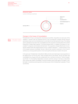

#### Changes in the Scope of Consolidation

Notes, Note 4 "Scope of consolidation," page 36.

ProSiebenSat.1 Group is consequently diversifying its portfolio. Acquisitions are also part of this strategy. In January 2016, we acquired 60.0% in the US production company Dorsey Pictures (previously known as Orion Entertainment) via the Red Arrow Entertainment Group. The holding and its subsidiaries have been fully consolidated since the acquisition and allocated to the Content Production & Global Sales segment. The Denver-based entity is a leading US producer of nonscripted TV programs and branded entertainment. The acquisition enlarges Red Arrow's US production network with new program genres such as "outdoor adventure" — in which Dorsey is one of the largest producers worldwide. Dorsey is Red Arrow's seventh investment in the US and it reinforces our strong growth position in the most significant television market in the world.

In the past year, ProSiebenSat.1 intensified its M&A activities and made larger-scale acquisitions in the digital sector for the first time. These included Verivox and etraveli. Verivox has been fully consolidated since August 2015 and complements the e-commerce vertical of "Online Comparison Portals." It is the leading independent consumer portal for energy in Germany. In December 2015, etraveli was initially consolidated. The pan-European online travel agency for flights is market leader in Scandinavia and expands its activities as part of the ProSiebenSat.1 subsidiary 7Travel successively.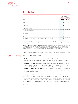# **Group Earnings**

|                                                                                 | ProSiebenSat.1<br>continuing operations |         |  |
|---------------------------------------------------------------------------------|-----------------------------------------|---------|--|
| EUR m                                                                           | Q1 2016                                 | Q1 2015 |  |
| Revenues                                                                        | 802                                     | 655     |  |
| Operating costs <sup>1</sup>                                                    | 636                                     | 506     |  |
| Total costs                                                                     | 684                                     | 541     |  |
| Cost of sales                                                                   | 455                                     | 390     |  |
| Selling expenses                                                                | 113                                     | 73      |  |
| Administrative expenses                                                         | 116                                     | 76      |  |
| Other operating expenses                                                        | $\Omega$                                | 2       |  |
| <b>FBIT</b>                                                                     | 122                                     | 117     |  |
| Recurring EBITDA <sup>2</sup>                                                   | 170                                     | 153     |  |
| Non-recurring items <sup>3</sup>                                                | - 9                                     | - 7     |  |
| <b>FRITDA</b>                                                                   | 162                                     | 146     |  |
| Consolidated net profit attributable to shareholders of ProSiebenSat.1 Media SE | 66                                      | 61      |  |
| Underlying net income <sup>4</sup>                                              | 76                                      | 70      |  |

Reporting on the basis of continuing operations: Unless otherwise indicated, the analysis of earnings, financial position and performance is based on continuing operations. This means that the earnings contributions and cash flows that arise in connection with disposals are not included in the individual items of the income statement or statement of cash flows, but are shown separately as the "Result from discontinued operations" and "Cash flow from discontinued operations" respectively in accordance with the provisions of IFRS 5.

In the first quarter of 2016, ProSiebenSat.1 Group increased its consolidated revenues to EUR 802 million. This corresponds to growth of 22% or EUR 147 million compared to the first quarter of 2015. All segments contributed to this:

- > The **Broadcasting German-speaking** segment with the core business of advertising-financed television recorded an external revenue increase of 5% or EUR 23 million to EUR 493 million. This corresponds to a share in consolidated revenues of 62% (previous year: 72%).
- > The Digital & Adjacent segment increased its revenues by 75% or EUR 103 million to EUR 242 million, therefore again contributing the highest amount of growth. Company acquisitions in the past year significantly strengthened revenue growth in the Digital & Adjacent segment.
- > The Content Production & Global Sales segment also developed dynamically. It increased its revenue contribution by EUR 17 million or 38% to EUR 63 million. The segment grows both organically and due to acquisitions.

The Group's target is to use additional revenue potential, particularly in the digital industry, and become more independent overall from the highly profitable yet economically sensitive free TV business. This strategic target reflects the development of revenue shares per segment. In the first quarter of 2016, ProSiebenSat.1 Group further increased the share of the two segments Digital & Adjacent and Content Production & Global Sales in consolidated revenues. Altogether, they contributed 38 % or EUR 305 million to consolidated revenues (previous year: 28 % or EUR 184 million).

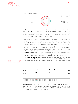

The Group has made various acquisitions in the past few months. This also influenced the development of total costs, which significantly increased compared to the first quarter of 2015 in line with expectations. They are made up of the cost of sales, selling expenses, administrative expenses and other operating expenses, totaling EUR 684 million in the first quarter of 2016. This development was characterized by the following factors:

- > The majority of the cost increase by 26% or EUR 142 million was due to a growth in the cost of sales by 16% or EUR 64 million to EUR 455 million. On the one hand, this was led by the expansion of the digital portfolio, in which the initial consolidation of various digital platforms in particular had an impact on the cost level.On the other hand, the larger business volume and the acquisitions of Dorsey Pictures in January 2016 and Karga Seven Pictures in November 2015 in the Content Production & Global Sales segment characterized the cost development. The consumption of programming assets - the Group's largest cost item - however, increased only slightly to EUR 237 million (previous year: EUR 231 million).
- > Selling expenses increased by 55% or EUR 40 million to EUR 113 million. This also primarily reflects the expansion of the portfolio in the Digital & Adjacent segment. In addition to acquisitions, growth in the Ventures & Commerce segments influenced the cost development.
- > Administrative expenses also increased as a result of growth and to a comparable level. These expenses amounted to EUR 116 million, which is an increase of 52% or EUR 40 million. Higher personnel expenses as a result of acquisitions were a reason for the increase in administrative expenses.



Operating costs adjusted for depreciation, amortization and non-recurring expenses amounted to EUR 636 million (previous year: EUR 506 million). This equates to an increase of 26 %. The following table shows a reconciliation of operating costs from total costs. Operating costs are the cost item which is relevant to recurring EBITDA:

Notes, Note 2 Scope of consolidation page 33.

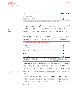| <b>Reconciliation of operating costs</b>                                                                 |         |         |
|----------------------------------------------------------------------------------------------------------|---------|---------|
| EUR m                                                                                                    | 01 2016 | 01 2015 |
| Total costs                                                                                              |         |         |
| Non-recurring expenses                                                                                   |         |         |
| Depreciation and amortization <sup>1</sup>                                                               |         |         |
| Operating costs                                                                                          |         |         |
| 1 Depreciation/amortization and impairment of other intangible assets and property, plant and equipment. |         |         |

For ProSiebenSat.1 Group, recurring EBITDA adjusted for non-recurring items is the central key performance indicator for managing profitability. It rose to EUR 170 million as a result of revenue momentum (previous year: EUR 153 million). This is an increase of 12 % year-on-year. In the smaller revenue quarter due to seasonal factors, the corresponding recurring EBITDA margin amounted to 21 % (previous year: 23 %). Generally, ProSiebenSat.1 Group generates the majority of its revenues and recurring EBITDA in the fourth quarter.

Group EBITDA increased by 11 % to EUR 162 million (previous year: EUR 146 million). It includes non-recurring items of EUR minus 9 million (previous year: EUR -7 million), which are also the result of M&A measures. A reconciliation of the operating earnings figures is as follows:

| <b>Reconciliation of recurring EBITDA from continuing operations</b>                                                                                                                                                                                                     |         |         |
|--------------------------------------------------------------------------------------------------------------------------------------------------------------------------------------------------------------------------------------------------------------------------|---------|---------|
| EUR m                                                                                                                                                                                                                                                                    | Q1 2016 | 01 2015 |
| Result before taxes                                                                                                                                                                                                                                                      | 99      | 89      |
| Financial result                                                                                                                                                                                                                                                         | $-24$   | $-28$   |
| <b>EBIT</b>                                                                                                                                                                                                                                                              | 122     | 117     |
| Depreciation and amortization <sup>1</sup>                                                                                                                                                                                                                               | 39      | 29      |
| thereof from purchase price allocations                                                                                                                                                                                                                                  | 10      |         |
| <b>EBITDA</b>                                                                                                                                                                                                                                                            | 162     | 146     |
| Non-recurring items <sup>2</sup>                                                                                                                                                                                                                                         | q       |         |
| <b>Recurring EBITDA</b>                                                                                                                                                                                                                                                  | 170     | 153     |
| 1 Depreciation/amortization and impairment of other intangible<br>2 Non-recurring expenses of EUR 9 million (previous year:<br>EUR 7 million) less non-recurring income of EUR 0 million<br>assets and property, plant and equipment.<br>(previous year: EUR 0 million). |         |         |

The financial result also continued to improve compared to the first quarter of 2015. It amounted to minus EUR 24 million. The main driver for the improvement of the financial result by 17% or EUR 5 million was the development of the other financial result. It amounted to EUR 1 million, compared to minus EUR 8 million in the previous year. The previous year's figure is characterized by negative valuation effects on financial investments. The interest result amounted to EUR minus 26 million (previous year: EUR -21 million). This includes valuation effects from interest derivatives of EUR 3 million.

The developments described resulted in an increase in earnings before taxes to EUR 99 million. This equates to growth of 11% or EUR 10 million. The income tax expense amounted to EUR 31 million (previous year: EUR 26 million) at a tax rate of 31.5% (previous year: 29.5%). Non-tax-deductible consulting costs related to M&A activities are a reason for this. After tax, this resulted in net profit for the period of EUR 68 million. This means that net income rose by 8% or EUR 5 million year-on-year.



Business Development of the Segments, page 21.

> Notes, Note 6 "Financial instruments," page 36.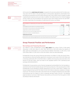

Impact of General Conditions on the Business Performance, page 11.

Analysis of Assets and Capital Structure,

page 20.

At the same time, **underlying net income** increased by 8 % and amounted to EUR 76 million (previous year: EUR 70 million). This earnings figure is among others adjusted for amortization from purchase price allocations of EUR 10 million (previous year: EUR 4 million), which is largely included in administrative expenses and cost of sales. In addition, the ineffectiveness from interest hedging of EUR 3 million are not accounted for here (previous year: EUR 0 million) and are not cash-effective either. Specifically, the calculation of underlying net income is as follows:

| FUR <sub>m</sub>                                                      | 01 2016 |  |
|-----------------------------------------------------------------------|---------|--|
| Consolidated net profit (after non-controlling interests)             |         |  |
| Amortization from purchase price allocations (after tax) <sup>1</sup> |         |  |
| Impairments on other financial investments                            |         |  |
| Inefficiencies from cash flow hedges (after tax) <sup>2</sup>         |         |  |
| Impairment of shares in ZeniMax Media Inc.                            |         |  |
| Underlying net income                                                 |         |  |

**2** Inefficiencies from cash flow hedges before tax: EUR 3 million (previous year: EUR 0 million).

# **Group Financial Position and Performance**

#### Borrowings and Financing Structure

As of March 31, 2016, ProSiebenSat.1 Group's dept capital had a share of 83% in total assets (December 31, 2015: 82 %; March 31, 2015: 78 %). With 60 % or EUR 2,676 million the majority of debt capital was attributable to non-current financial liabilities (December 31, 2015: 61% or EUR 2,675 million; March 31, 2015: 60 % or EUR 1,975 million), which are described below.

ProSiebenSat.1 Group uses various financing instruments: As of March 31, 2016, the Group's financing comprised an unsecured facilities agreement consisting of a term loan of EUR 2,100 million and a revolving credit facility (RCF) of EUR 600 million. In addition, the Group has unsecured notes in the amount of EUR 600 million, which are listed on the regulated market of the Luxembourg stock exchange (ISIN DE000A11QFA7).

ProSiebenSat.1 Group practices active financial management and benefited from the favorable environment on the financial markets last year with financing measures: In the second quarter of 2015, ProSiebenSat.1 Group extended its facilities agreement by one year to April 2020; in addition, the Group increased its loan by EUR 700 million to EUR 2,100 million at attractive conditions in October of last year. The amounts of the other instruments have not changed compared to the same dates of the previous year. As of March 31, 2016, no drawings had been made on the RCF. The following graph provides an overview of debt financial instruments as of the end of the first quarter of 2016 according to maturity and amount:

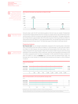**ing** Rating of ProSiebenSat.1<br>Group: Ratings represent an independent assessment of an entity's credit quality. The rating agencies do not take ProSiebenSat.1 Group's facilities agreement or notes into account in their credit ratings.

|       | Debt financial instruments and maturities as of March 31, 2016 |            |              |
|-------|----------------------------------------------------------------|------------|--------------|
| EUR m |                                                                |            |              |
| 2,500 |                                                                |            |              |
| 2,000 | Term Loan                                                      |            |              |
| 1,500 |                                                                |            |              |
| 1,000 |                                                                |            |              |
| 500   |                                                                | RCF        | <b>Notes</b> |
|       |                                                                |            |              |
|       | April 2020                                                     | April 2020 | April 2021   |

Notes, Note 6 "Financial instruments," page 36. Amounts drawn under the RCF and interest payable on the term loan are variable. ProSiebenSat.1 Group therefore hedges potential risks from changes of variable interest rates with derivative financial instruments in the form of interest rate swaps and interest rate options. The hedge ratio/proportion of fixed interest is approximately 78% of the entire long-term financing portfolio as of March 31, 2016 and the end of 2015 (March 31, 2015: approximately 95%). The average fixed-interest swap rate remains at around 3.12% per annum. The fixed-rate coupon of the notes is 2.625% per annum.

### Financing Analysis

Net financial debt has not changed substantially compared to the reporting date in December 2015; it amounted to EUR 1,953 million as of March 31, 2016 (December 31, 2015: EUR 1,940 million). As of March 31, 2015, however, the Group reported net financial debt of EUR 1,500 million. The increase compared to the reporting date in March 2015 is based on M&A measures which the Group intensified in the second half of 2015 in particular. Cash and cash equivalents amounted to EUR 723 million compared to EUR 734 million on December 31, 2015, and EUR 475 million on March 31, 2015. As of March 31, 2016, the leverage was 2.1 and thus within the defined target range. The leverage ratio is a key indicator for Group-wide financial planning; the target is a ratio of between 1.5 and 2.5.

| Group net financial debt |     |      |                   |       |       |       |       |                    |
|--------------------------|-----|------|-------------------|-------|-------|-------|-------|--------------------|
| EUR m                    |     |      |                   |       |       |       |       |                    |
| 03/31/2016               |     |      |                   |       |       |       |       | 1,953              |
| 12/31/2015               |     |      |                   |       |       |       |       | $ +$ $      1,940$ |
| 03/31/2015               |     |      |                   |       |       |       |       | 1,500              |
|                          | 250 | :500 | $\frac{1}{2}$ 750 | 1,000 | 1,250 | 1,500 | 1,750 | 2,000              |

**Ratio net financial debt to LTM recurring EBITDA (leverage ratio)** 

|             | 0.5 | $\frac{1}{2}$ .5 | $\cdot$ 2 $\mu$ | 12.5       |
|-------------|-----|------------------|-----------------|------------|
|             |     |                  |                 | <b>1.1</b> |
| 03/31/20151 |     |                  |                 |            |
| 12/31/2015  |     |                  |                 |            |
|             |     |                  |                 |            |
| 03/31/2016  |     |                  |                 | 2.1        |
|             |     |                  |                 |            |
| EUR m       |     |                  |                 |            |

**1** Adjusted for the LTM recurring EBITDA contribution of Eastern European operations.

Net financial debt is defined as total borrowings minus cash and cash equivalents and certain current financial assets. The leverage ratio is derived by calculating the ratio of net financial debt to recurring EBITDA of the last twelve months (LTM recurring EBITDA).

Analysis of Assets and Capital Structure, page 20.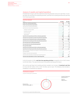# Analysis of Liquidity and Capital Expenditure

ProSiebenSat.1 Group's cash flow statement shows the generation and use of cash flows. It is broken down into cash flow from operating activities, cash flow from investing activities and cash flow from financing activities.

| <b>Cash flow statement</b>                                                                       |             |              |
|--------------------------------------------------------------------------------------------------|-------------|--------------|
| FUR <sub>m</sub>                                                                                 | Q1 2016     | Q1 2015      |
| Profit from continuing operations                                                                | 68          | 63           |
| Profit from discontinued operations                                                              | $\mathbf 0$ | $\mathbf{1}$ |
| Cash flow from continuing operations                                                             | 413         | 375          |
| Cash flow from discontinued operations                                                           | -2          | 1            |
| Change in working capital                                                                        | 17          | 25           |
| Dividends received                                                                               | 6           | 5            |
| Income tax paid                                                                                  | $-50$       | -39          |
| Interest paid                                                                                    | $-22$       | $-18$        |
| Cash flow from operating activities continuing operations                                        | 365         | 350          |
| Cash flow from operating activities discontinued operations                                      | $-2$        | -1           |
| Cash flow from investing activities continuing operations                                        | $-367$      | $-350$       |
| Cash flow from investing activities discontinued operations                                      | $-/-$       | $-/-$        |
| Free cash flow from continuing operations                                                        | $-3$        | 0            |
| Free cash flow from discontinued operations                                                      | $-2$        | $-1$         |
| Free cash flow (total)                                                                           | $-5$        | $-1$         |
| Cash flow from financing activities continuing operations                                        | -5          | -3           |
| Cash flow from financing activities discontinued operations                                      | $-/-$       | $-/-$        |
| Effect of foreign exchange rate changes of continuing operations on cash and<br>cash equivalents | $-2$        | 8            |
| Change in cash and cash equivalents                                                              | $-12$       | 4            |
| Cash and cash equivalents at beginning of reporting period                                       | 734         | 471          |
| Cash and cash equivalents at end of reporting period                                             | 723         | 475          |
|                                                                                                  |             |              |

In the first quarter of 2016, cash flow from operating activities increased by 4% or EUR 15 million to EUR 365 million. This was primarily due to the positive earnings performance.

All in all, the cash flows from investing activities resulted in an increase of investment cash flow to minus EUR 367 million (+5 % or EUR –18 million year-on-year). The following chart provides a breakdown of investments by segment:

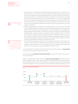

Assets resulting from Ť initial consolidations are not reported as segmentspecific investments. Funds used for the acquisition of the first-time consolidated entities are shown as "cash outflow from additions to the scope of consolidation."

> Cash outflow for the acquisition of programming rights amounted to EUR 277 million, this is a decrease of 13% or EUR 41 million year-on-year. Most of the programming investments were made in the Broadcasting German-speaking segment, 60% for the acquisition of licensed programming and 40% for commissioned productions. In addition to the purchasing of licensed formats and commissioned productions, in-house formats secure the Group's programming supply. They are based on the development and implementation of own ideas and, unlike commissioned productions, are primarily produced for broadcasting in the near future. For this reason, they are recognized immediately as an expense in the cost of sales and are not considered as an investment.

- > In the first quarter, besides investments in programming assets, EUR 23 million were invested in other intangible assets, an increase of 26% or EUR 5 million compared to the previous year's figure. The Group primarily used the investments in other intangible assets to strengthen the Digital & Adjacent segment (68%). ProSiebenSat.1 in particular invested in internally generated intangible assets, advance payments for intangible assets and software licenses. In contrast, the investments in property, plant and equipment of EUR 4 million were close the previous year's figure of EUR 5 million. 52% and 29% were attributed to the Broadcasting German-speaking and Digital & Adjacent segments respectively; the Group primarily invested in technical facilities and leasehold improvements at the Unterföhring site.
- > Cash outflow from additions to the scope of consolidation amounted to EUR 55 million (previous year: EUR 0 million). This amount primarily includes the purchase price payment for the acquisition of Dorsey Pictures in the first quarter of this year and deferred purchase price payments for the acquisitions of etraveli and SMARTSTREAM.TV in 2015.

The described effects in operating cash flow and investment cash flow resulted in a free cash flow of minus EUR 3 million (previous year: EUR 0 million).

In the first quarter, cash flow from financing activities was minus EUR 5 million (previous year: minus EUR 3 million).

Against the background of these cash flows, cash and cash equivalents increased to EUR 723 million compared to March 31, 2015 (EUR 475 million). On December 31, 2015, cash and cash equivalents amounted to EUR 734 million; the fourth quarter is usually the period of the Group's financial year with the greatest cash flow. The Group had a comfortable level of liquidity as of March 31, 2016.

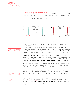### Analysis of Assets and Capital Structure

Total assets changed only marginally and amounted to EUR 5,329 million as of March 31, 2016 (December 31, 2015: EUR 5,317 million); there were no material structural or quantitative changes in the statement of financial position compared to December 31, 2015. ProSiebenSat.1 Group therefore has a solid asset and capital structure:





Goodwill amounted to EUR 1,663 million (December 31, 2015: EUR 1,656 million). The proportion of goodwill in total assets therefore remained at 31%. As of March 31, 2016, other intangible assets increased by 5% to EUR 580 million (December 31, 2015: EUR 553 million). This was mainly due to the purchase price allocation relating to the acquisition of Dorsey Pictures and investments in the Digital & Adjacent segment. In contrast, non-current other financial and non-financial assets fell by 11 % to EUR 274 million as of March 31, 2016 (December 31, 2015: EUR 307 million). This development is primarily attributable to currency hedge effects. At EUR 134 million, current other financial and non-financial assets were close to the level of the comparative reporting date (December 31, 2015: EUR 137 million). Alongside goodwill, programming assets are among ProSiebenSat.1's most important assets and, like at the closing date of 2015, made up 24 % of total assets. They comprise non-current and current programming assets, which increased by 3% to EUR 1,291 million (December 31, 2015: EUR 1,252 million). In contrast, trade receivables fell by 3 % compared to December 31, 2016, and amounted to EUR 371 million (December 31, 2015: EUR 383 million). Cash and cash equivalents were close to the previous year's level at EUR 723 million (–2 % or EUR –12 million compared to December 31, 2015).

Despite positive effects from consolidated profit, equity declined by 4% to EUR 903 million (December 31, 2015: EUR 943 million). The Group therefore had an equity ratio of 17% (December 31, 2015: 18%). This resulted in a decline in other accumulated equity and the reclassification of share-based compensation components.

Borrowings and Financing Structure, page 16.

Notes, Note 6 "Financial instruments," page 36.

Changes in the Scope of Consolidation, page 12.

> Due to this reclassification, non-current other provisions as well as current other liabilities increased. As a result, **debt capital** came to EUR 4,426 million after EUR 4,374 million as of December 31, 2015. However, non-current and current financial liabilities, also included in debt capital, have not changed significantly, amounting to EUR 2,676 million (December 31, 2015: EUR 2,675 million).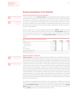# **Business Development of the Segments**



Segment Broadcasting German-speaking

In the first quarter of 2016, external revenues in the Broadcasting German-speaking segment increased to EUR 493 million. This equates to an increase of 5 % or EUR 23 million compared to the previous year. The positive revenue performance is primarily based on higher TV advertising revenues. ProSiebenSat.1 Group benefited from a positive economic and industry environment and increased its revenues by marketing TV advertising time, particularly on the core market of Germany. At the same time, the Group increased its distribution revenues from free TV programs in high definition.

Revenue growth led to a rise in the operating earnings figures: EBITDA recorded an increase by 3% or EUR 4 million to EUR 126 million. At the same time, recurring EBITDA adjusted for non-recurring items increased to EUR 131 million (previous year: EUR 126 million). This equates to an increase of 4% year-on-year. The recurring EBITDA margin was 25.5% (previous year: 25,8 %).

| FUR <sub>m</sub>                            | 01 2016 | 01 2015 |     |
|---------------------------------------------|---------|---------|-----|
| Segment revenues                            |         |         |     |
| External revenues                           |         |         |     |
| Internal revenues                           |         |         | 4 % |
| FRITDA                                      |         |         |     |
| Recurring EBITDA                            |         |         |     |
| Recurring EBITDA margin <sup>1</sup> (in %) |         | 25.8    |     |

# Segment Digital & Adjacent

Notes, Note 3 "Segment reporting," page 34.

> Changes in the Scope of Consolidation, page 12.

External revenues in the Digital & Adjacent segment developed very dynamically, amounting to EUR 242 million in the first quarter of 2016. This equates to an increase by 75% or EUR 103 million. In recent months, the Group has expanded its portfolio with digital platforms and online portals and invested in innovative technologies. The strongest revenue driver was thus the Ventures & Commerce portfolio in the first quarter of 2016. Here, etraveli and Verivox made the largest contributions to growth. These e-commerce portals have been consolidated since December 2015 and August 2015 respectively. In addition, the initial consolidation of the multi-channel network CDS (now: Studio71) had an impact. Moreover, the Group developed its expertise in the area of digital advertising technology. In the second half of 2015, it acquired majority interests in SMARTSTREAM.TV and Virtual Minds. In addition to this acquisition-driven growth, revenues also increased organically. This was also based on the positive revenue performance of the existing Ventures & Commerce portfolio and digital entertainment offers with maxdome. In contrast, revenues from the online games business declined. Revenues in the Adjacent business also remained below the previous year's level.

The expansion of the portfolio also affected the cost development. In addition, the individual business areas have different income structures and growth momentum, resulting in a decline in the recurring EBITDA margin to 14.1% (previous year: 19.2%). Despite higher costs, recurring EBITDA adjusted for non-recurring items rose by 29 % to EUR 35 million (previous year: EUR 27 million). EBITDA grew by 34 % or EUR 8 million to EUR 32 million.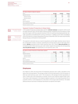| FUR <sub>m</sub>                            | 01 2016 | 2015 | Change |
|---------------------------------------------|---------|------|--------|
| Segment revenues                            |         |      | 76%    |
| External revenues                           |         | 38   | 75%    |
| Internal revenues                           |         |      |        |
| FRITDA                                      |         |      |        |
| Recurring EBITDA                            |         |      |        |
| Recurring EBITDA margin <sup>1</sup> (in %) |         | 19.2 |        |

## Segment Content Production & Global Sales

Notes, Note 3 "Segment reporting," page 34.

| <b>Important Events</b><br>Q1 2016, page 5.         |
|-----------------------------------------------------|
| Changes in the Scope,<br>of Consolidation, page 12. |

In the Content Production & Global Sales segment, external revenues increased by 38% to EUR 63 million (previous year: EUR 46 million). Revenue growth compared to the first quarter of 2016 was firstly organic, with the production business in the US in particular developing positively. Secondly, acquisitions strengthened the revenue momentum. In addition to the initial consolidation of the US production company Karga Seven Pictures in November 2015, the newly acquired entity Dorsey Pictures contributed to revenue growth.

The segment's costs also rose as a result of acquisitions and the higher business volume. Due to the considerable increase in revenues, operating key earnings figures grew at high rates nevertheless. EBITDA improved to EUR 5 million (previous year: EUR 1 million). Recurring EBITDA also increased to EUR 5 million (previous year: EUR 1 million). Against this backdrop, the corresponding recurring EBITDA margin rose significantly to 7.0% (previous year: 1.2%).

| FUR <sub>m</sub>                            | 01 2016 | 01 2015 | Change |
|---------------------------------------------|---------|---------|--------|
| Segment revenues                            |         |         |        |
| External revenues                           |         |         |        |
| Internal revenues                           |         |         |        |
| FRITD∆                                      |         |         |        |
| Recurring EBITDA                            |         |         |        |
| Recurring EBITDA margin <sup>1</sup> (in %) |         |         |        |

**1** Based on segment revenues.

# **Employees**

As of March 31, 2016, the Group had 5,713 employees (previous year: 4,265), calculated on the basis of full-time equivalents. The average number of full-time equivalents in the first quarter of 2016 was 5,630 (previous year: 4,237). The increase by 1,392 average full-time equivalents or 33 % is chiefly due to the acquisitions of etraveli, Verivox and Collective Digital Studio (CDS). There were 2,320 employees in the Digital & Adjacent segment in the reporting period; this is a growth of 81% or 1,041 employees to a 41% share in the Group's total workforce. The tables below provide an overview of employee distribution by segment and region: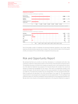| average full-time equivalents, Q1 2015 figures in parentheses                                                                                                                                                                                                                                         |            |      |         |         |        |         |       |       |       |                                     |
|-------------------------------------------------------------------------------------------------------------------------------------------------------------------------------------------------------------------------------------------------------------------------------------------------------|------------|------|---------|---------|--------|---------|-------|-------|-------|-------------------------------------|
| Broadcasting<br>German-speaking                                                                                                                                                                                                                                                                       |            |      |         |         |        |         |       |       | 2,368 | (2, 180)                            |
| Digital &<br>Adjacent                                                                                                                                                                                                                                                                                 |            |      |         |         |        |         |       |       | 2.320 | (1, 278)                            |
| Content Production &<br><b>Global Sales</b>                                                                                                                                                                                                                                                           |            |      |         |         |        |         |       |       | 894   | (779)                               |
|                                                                                                                                                                                                                                                                                                       | $\vdots$ 0 | :500 | : 1,000 | : 1,500 | 12,000 | : 2,500 | 3,000 | 3.500 |       |                                     |
|                                                                                                                                                                                                                                                                                                       |            |      |         |         |        |         |       |       |       |                                     |
|                                                                                                                                                                                                                                                                                                       |            |      |         |         |        |         |       |       |       |                                     |
|                                                                                                                                                                                                                                                                                                       |            |      |         |         |        |         |       |       |       |                                     |
|                                                                                                                                                                                                                                                                                                       |            |      |         |         |        |         |       |       | 4.397 |                                     |
|                                                                                                                                                                                                                                                                                                       |            |      |         |         |        |         |       |       | 295   |                                     |
|                                                                                                                                                                                                                                                                                                       |            |      |         |         |        |         |       |       | 618   |                                     |
|                                                                                                                                                                                                                                                                                                       |            |      |         |         |        |         |       |       | 60    | (3, 381)<br>(261)<br>(359)<br>(175) |
| 1 The total amount of 5,630 average full-time equivalents throughout the Group contains 49 employees not allocated to a segment.<br><b>Employees by regions</b><br>average full-time equivalents, Q1 2015 figures in parentheses<br>Germany<br>Austria/Switzerland<br><b>USA</b><br>UK<br>Scandinavia |            |      |         |         |        |         |       |       | 252   | (44)                                |

Due to the greater number of employees, the personnel expenses reported in cost of sales, selling expenses and administrative expenses also increased. They rose to EUR 149 million in the first quarter of 2016, an increase of 47% or EUR 48 million compared to the previous year.

0 500 1,000 1,500 2,000 2,500 3,000 3,500 4,000 4,500

# Risk and Opportunity Report

We estimate that there are currently no risks that, individually or in combination with other risks, could have a material or lasting adverse effect on the earnings, financial position and performance. The identified risks pose no threat to the Company as a going concern, even looking into the future. As of the date this Statement was prepared, the Executive Board still considers the overall risk situation as limited and manageable for this reason. There were no fundamental changes in the overall risk situation. We still rate the majority of the issues presented in the latest Annual Report as a slight risk. The opportunity situation has not changed either. The risks and opportunities identified as significant are described in the 2015 Annual Report from page 157. The organizational requirements for risk and opportunity management are also explained here. The Annual Report was published on March 15, 2016 and is available at: www.prosiebensat1.com/en/page/geschaeftsbericht. We also refer to the remarks on the predictive statements in this Quarterly Statement on page 25.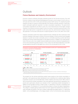

Development of Economy and Advertising Market page 7.

# Outlook

# **Future Business and Industry Environment**

Economic research institutes anticipate moderate growth for the German economy. The Joint Economic Analysis Group (Gemeinschaftsdiagnose) forecasts a real increase of 1.6% for the current year and 1.5% in 2017. In 2015, gross domestic product (GDP) rose by 1.7%. Significant growth impulses are likely to continue coming especially from dynamic domestic demand. In particular, experts anticipate significant expansion in private consumption expenditure. The government consumption expenditures are likely to grow, too, not at least because of the higher refugee migration. According to economy experts, also an increase in housing investments both in the public and private sectors is expected. For the euro zone, the Joint Economic Analysis Group is also optimistic. For the years 2016 and 2017, it expects growth of 1.4% or 1.6%, after 1.6% in 2015.

However, uncertainty results from regions outside Germany. Institutes see risks in particular in the economic slowdown of key export countries. Structural changes in China's economy and a tangible downturn in growth due to lower commodity prices in commodity-exporting countries like Russia and Brazil are having a detrimental effect on the global economy. In addition, the muted development of the euro zone, more volatile financial markets and numerous instances of geopolitical turmoil are also diminishing growth prospects. In this context, the International Monetary Fund (IMF) has decreased its forecast for 2016 again from 3.4% to 3.2%. Its forecast for 2017 is 3.5%.

#### **Forecasts for real gross domestic product, private consumption and the net TV advertising market in countries important for ProSiebenSat.1**



in percent, change vs. previous year

#### **2016 2017** Source:

GER: Joint Economic Analysis Group (Gemeinschaftsdiagnose), Spring 2016.

A: European Commission, European Economic Forecast Winter 2016.

CH: Secretary of State for Economy (SECO), Economic forecast, March 2016.

**1** ZenithOptimedia, Advertising Expenditure Forecasts March 2016, figures adjusted on a net basis, nonetheless methodological

differences between different countries and sources.

The prospects for the German advertising market remain positive as the private consumption in particular is still experiencing robust development and is benefiting from underlying data relating to domestic economy such as favorable labor market conditions and rising income. With a share in GDP of around 54%, private consumption is the most significant macroeconomic expenditure component and is particularly relevant as an indicator of the TV advertising market's development. In addition to the favorable economic climate overall, TV advertising in Germany is benefiting from structural gains. The relevance of TV as an advertising medium is rising in the wake of digitalization. This category is steadily gaining market shares from print. Against this backdrop, the institutes currently anticipate net growth in the low to medium single-digit percentage range for TV advertising (WARC: +4.3%, ZenithOptimedia: +2.5%, Magna Global: +4.3%). For the German online advertising

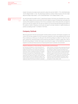market, forecasts are at about seven percent to about ten percent (WARC: +7.1%, ZenithOptimedia: +10.0%, Magna Global: +7.7%). The advertising market as a whole is likely to grow in the low singledigit percentage range (WARC: +2.4%, ZenithOptimedia: +2.6%, Magna Global: +1.3%).



Our own forecasts for growth on the TV advertising market in Germany are somewhat more conservative. With a stable economy and further structure-related increases, ProSiebenSat.1 anticipates the volume of the market to increase by 2% to 3% on a net basis in 2016. At the same time, we expect to grow in line with the market over the year as a whole. Our second important planning assumption is the audience market. Following a record year, we expect to at least maintain or slightly develop our position as leading private TV company in Germany.

# **Company Outlook**

With the good start into the second quarter and the positive economic and industry prospects, we confirm the full-year guidance for the Group and its segments, which was published at the Annual Press Conference on February 25, 2016 and in the 2015 Annual Report on March 15, 2016. The Company outlined the individual targets and the planning assumptions in detail on pages 182 to 185 of the 2015 Annual Report. Further information can be found on page 3 of this Statement, where the targets for all relevant financial and non-financial performance indicators are presented.

#### **Predictive Statements on Future Earnings, Financial Position and Performance**

Our forecasts are based on current assessments of future developments. In this context, we draw on our budget and comprehensive market and competitive analyses. However, forecasts naturally entail certain insecurities, which could lead to positive or negative deviations from planning. If imponderables occur or if the assumptions on which the forward-looking statements are made do not apply, actual results may deviate materially from the statements made or the results implicitly expressed. Developments that could negatively impact this forecast include, for example,

lower economic momentum than expected at the time the statement was prepared. These and other factors are explained in detail in the Risk and Opportunity Report of the 2015 Annual Report and in this quarterly statement. There we also report on additional growth potential. Opportunities that we have not yet or not fully budgeted for could arise from corporate strategy decisions, for example. Significant events after the end of the period are explained in the Notes, Note 11. Publication date of the Quarterly Statement for the first quarter of 2016 is May 3, 2016.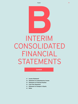

# **B** INTERIM CONSOLIDATED FINANCIAL STATEMENTS

# **Content**

- **27 Income Statement**
- **28 Statement of Comprehensive Income**
- **29 Statement of Financial Position**
- **30 Cash Flow Statement**
- **31 Statement of Changes in Equity**
- **32 Notes**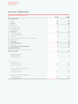# Income Statement

#### **Income Statement of ProSiebenSat.1 Group**

| EUR m                                                             | Q1 2016     | Q1 2015        |  |
|-------------------------------------------------------------------|-------------|----------------|--|
| <b>CONTINUING OPERATIONS</b>                                      |             |                |  |
| 1. Revenues                                                       | 802         | 655            |  |
| 2. Cost of sales                                                  | $-455$      | $-390$         |  |
| 3. Gross profit                                                   | 347         | 264            |  |
| 4. Selling expenses                                               | $-113$      | $-73$          |  |
| 5. Administrative expenses                                        | $-116$      | $-76$          |  |
| 6. Other operating expenses                                       | $\mathbf 0$ | $-2$           |  |
| 7. Other operating income                                         | 4           | $\overline{4}$ |  |
| 8. Operating profit                                               | 122         | 117            |  |
| 9.<br>Interest and similar income                                 | $\mathsf 0$ | $\mathsf 0$    |  |
| 10.<br>Interest and similar expenses                              | $-26$       | $-22$          |  |
| 11. Interest result                                               | $-26$       | $-21$          |  |
| 12. Income from investments accounted for using the equity method | 2           | 1              |  |
| 13. Other financial result                                        | 1           | $-8$           |  |
| 14. Financial result                                              | $-24$       | -28            |  |
| 15. Profit before income taxes                                    | 99          | 89             |  |
| 16. Income taxes                                                  | $-31$       | $-26$          |  |
| 17. Profit for the period from continuing operations              | 68          | 63             |  |
| DISCONTINUED OPERATIONS                                           |             |                |  |
| 18. Profit from discontinued operations (net of income taxes)     | $\mathsf 0$ | 1              |  |
| PROFIT FOR THE PERIOD                                             | 68          | 64             |  |
|                                                                   |             |                |  |
| Attributable to shareholders of<br>ProSiebenSat.1 Media SE        | 66          | 62             |  |
| Non-controlling interests                                         | $1\,$       | $\overline{c}$ |  |
|                                                                   |             |                |  |
| <b>EUR</b>                                                        |             |                |  |
| Earnings per share                                                |             |                |  |
| Basic earnings per share                                          | 0.31        | 0.29           |  |
| Diluted earnings per share                                        | 0.31        | 0.29           |  |
| Earnings per share from continuing operations                     |             |                |  |
| Basic earnings per share                                          | 0.31        | 0.29           |  |
| Diluted earnings per share                                        | 0.31        | 0.28           |  |
| Earnings per share from discontinued operations                   |             |                |  |
| Basic earnings per share                                          | 0.00        | 0.01           |  |
| Diluted earnings per share                                        | 0.00        | 0.01           |  |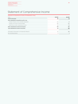# Statement of Comprehensive Income

| Statement of Comprehensive Income of ProSiebenSat.1 Group |         |      |  |
|-----------------------------------------------------------|---------|------|--|
| FUR <sub>m</sub>                                          | 01 2016 | 2015 |  |
| Profit for the period                                     | 68      |      |  |
| Items subsequently reclassified to profit or loss         |         |      |  |
| Change in foreign currency translation adjustment         |         |      |  |
| Changes in fair value of cash flow hedges                 |         |      |  |
| Deferred tax on other comprehensive income                |         |      |  |
| Other comprehensive income for the period                 |         |      |  |
| Total comprehensive income for the period                 |         |      |  |
| Attributable to Shareholders of ProSiebenSat.1 Media SE   |         |      |  |
| Non-controlling interests                                 |         |      |  |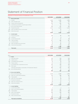# Statement of Financial Position

|       | <b>Statement of Financial Position of ProSiebenSat.1 Group</b> |            |            |            |
|-------|----------------------------------------------------------------|------------|------------|------------|
| EUR m |                                                                | 03/31/2016 | 12/31/2015 | 03/31/2015 |
|       | A. Non-current assets                                          |            |            |            |
|       | I. Goodwill                                                    | 1,663      | 1,656      | 1,056      |
|       | II. Other intangible assets                                    | 580        | 553        | 275        |
|       | III. Property, plant and equipment                             | 222        | 226        | 211        |
|       | IV. Investments accounted for using the equity method          | 22         | 25         | 35         |
|       | V. Non-current financial assets                                | 260        | 291        | 354        |
|       | VI. Programming assets                                         | 1,151      | 1,153      | 1,170      |
|       | VII. Other receivables and non-current assets                  | 14         | 15         |            |
|       | VIII. Deferred tax assets                                      | 12         | 13         | 11         |
|       |                                                                | 3,923      | 3,933      | 3,118      |
|       | <b>B.</b> Current assets                                       |            |            |            |
|       | I. Programming assets                                          | 140        | 99         | 126        |
|       | II. Inventories                                                |            |            |            |
|       | III. Current financial assets                                  | 62         | 72         | 88         |
|       | IV. Trade receivables                                          | 371        | 383        | 327        |
|       | V. Current tax assets                                          | 30         | 22         | 36         |
|       | VI. Other receivables and current assets                       | 73         | 65         | 35         |
|       | VII. Cash and cash equivalents                                 | 723        | 734        | 475        |
|       |                                                                | 1,406      | 1,384      | 1,088      |
|       | <b>Total assets</b>                                            | 5,329      | 5.317      | 4,206      |
|       |                                                                |            |            |            |

| EUR m |                                                                      | 03/31/2016 | 12/31/2015 | 03/31/2015 |
|-------|----------------------------------------------------------------------|------------|------------|------------|
|       | A. Equity                                                            |            |            |            |
|       | I. Subscribed capital                                                | 219        | 219        | 219        |
|       | II. Capital reserves                                                 | 542        | 600        | 594        |
|       | III. Consolidated equity generated                                   | 93         | 26         | 40         |
|       | IV. Treasury shares                                                  | $-15$      | $-20$      | $-29$      |
|       | V. Accumulated other comprehensive income                            | 101        | 150        | 129        |
|       | VI. Other equity                                                     | -56        | $-54$      | $-36$      |
|       | Total equity attributable to shareholders of ProSiebenSat.1 Media SE | 884        | 922        | 916        |
|       | VII. Non-controlling interests                                       | 19         | 21         | 19         |
|       |                                                                      | 903        | 943        | 935        |
|       | B. Non-current liabilities                                           |            |            |            |
|       | I. Non-current financial debt                                        | 2.675      | 2.674      | 1.975      |
|       | II. Other non-current financial liabilities                          | 379        | 360        | 207        |
|       | III. Trade payables                                                  | 62         | 67         | 56         |
|       | IV. Other non-current liabilities                                    | 32         | 34         | 36         |
|       | V. Provisions for pensions                                           | 24         | 23         | 22         |
|       | VI. Other non-current provisions                                     | 54         | 17         | 6          |
|       | VII. Deferred tax liabilities                                        | 226        | 245        | 168        |
|       |                                                                      | 3,451      | 3,419      | 2,469      |
|       | C. Current liabilities                                               |            |            |            |
|       | I. Current financial debt                                            |            | 1          |            |
|       | II. Other current financial liabilities                              | 122        | 147        | 73         |
|       | III. Trade payables                                                  | 462        | 450        | 448        |
|       | IV. Other current liabilities                                        | 281        | 243        | 203        |
|       | V. Provisions for taxes                                              | 52         | 62         | 26         |
|       | VI. Other current provisions                                         | 57         | 53         | 53         |
|       |                                                                      | 975        | 955        | 802        |
|       | Total equity and liabilities                                         | 5,329      | 5,317      | 4,206      |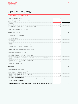# Cash Flow Statement

| <b>Cash Flow Statement of ProSiebenSat.1 Group</b>                                                              |                |                |
|-----------------------------------------------------------------------------------------------------------------|----------------|----------------|
| EUR m                                                                                                           | Q1 2016        | Q1 2015        |
| Result from continuing operations                                                                               | 68             | 63             |
| Result from discontinued operations (net of income taxes)                                                       | $\mathbf 0$    | 1              |
| Result for the period                                                                                           | 68             | 64             |
| Income taxes                                                                                                    | 31             | 26             |
| Financial result                                                                                                | 24             | 28             |
| Depreciation/amortization and impairment of other intangible and tangible assets                                | 39             | 29             |
| Consumption/reversal of impairment of programming assets                                                        | 235            | 230            |
| Change in provisions for pensions and other provisions                                                          | 14             | 6              |
| Gain/loss on the sale of assets                                                                                 | 1              | $\overline{c}$ |
| Other non-cash income/expenses                                                                                  | $\overline{c}$ | - 9            |
| Cash flow from continuing operations                                                                            | 413            | 375            |
| Cash flow from discontinued operations                                                                          | -2             | 1              |
| Cash flow total                                                                                                 | 412            | 376            |
| Change in working capital                                                                                       | 17             | 25             |
| Dividends received                                                                                              | 6              | 5              |
| Income tax paid                                                                                                 | $-50$          | $-39$          |
| Interest paid                                                                                                   | $-22$          | $-18$          |
| Cash flow from operating activities of continuing operations                                                    | 365            | 350            |
| Cash flow from operating activities of discontinued operations                                                  | $-2$           | $-1$           |
| Cash flow from operating activities total                                                                       | 363            | 349            |
| Payments for the acquisition of other intangible and tangible assets                                            | $-27$          | $-23$          |
| Payments for the acquisition of financial assets                                                                | $-11$          | - 8            |
| Proceeds from disposal of programming assets                                                                    | 2              | $\mathbf{0}$   |
| Payments for the acquisition of programming assets                                                              | -277           | -317           |
| Payments for the issuance of loan receivables to external parties                                               | -/-            | $-2$           |
| Cash flow from obtaining control of subsidiaries or other business (net of cash and cash equivalents acquired)  | $-55$          | $\mathbf{0}$   |
| Cash flow from investing activities of continuing operations                                                    | -367           | $-350$         |
| Cash flow from investing activities of discontinued operations                                                  | $-/-$          | $-/-$          |
| Cash flow from investing activities total                                                                       | -367           | -350           |
| Free cash flow of continuing operations                                                                         | $-3$           | $\Omega$       |
| Free cash flow of discontinued operations                                                                       | -2             | -1             |
| Free cash flow                                                                                                  | - 5            | -1             |
| Repayment of finance lease liabilities                                                                          | $-4$           | $-3$           |
| Proceeds from the sale of treasury shares                                                                       | 5              | 1              |
| Payments for shares in other entities without change in control                                                 | -/-            | -1             |
| Dividend payments to non-controlling interests                                                                  |                | 0              |
| Cash flow from financing activities of continuing operations                                                    | - 5            | -3             |
| Cash flow from financing activities of discontinued operations                                                  | -/-            | $-/-$          |
| Cash flow from financing activities total                                                                       | - 5            | -3             |
| Effect of foreign exchange rate changes of discontinued operations on cash and cash equivalents                 | $-2$           | 8              |
| Change in cash and cash equivalents total                                                                       | $-12$          | 4              |
| Cash and cash equivalents at beginning of reporting period                                                      | 734            | 471            |
| Cash and cash equivalents of continuing operations at end of reporting period (statement of financial position) | 723            | 475            |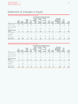# Statement of Changes in Equity

#### **Statement of Changes in Equity of ProSiebenSat.1 Group for Q1 2015**

|                               |       |                    |       |       |       |       | Accumulated other comprehensive income |       |       |       |                     |                                          |                         |                                                       |                                                    |                                                  |                        |                 |                                                                                  |                                       |                 |
|-------------------------------|-------|--------------------|-------|-------|-------|-------|----------------------------------------|-------|-------|-------|---------------------|------------------------------------------|-------------------------|-------------------------------------------------------|----------------------------------------------------|--------------------------------------------------|------------------------|-----------------|----------------------------------------------------------------------------------|---------------------------------------|-----------------|
| EUR m                         | Sub-  | scribed<br>capital |       |       |       |       |                                        |       |       |       | Capital<br>reserves | Consoli-<br>dated<br>equity<br>generated | Trea-<br>sury<br>shares | Foreign<br>currency<br>translation<br>adjust-<br>ment | Fair value<br>changes<br>οf<br>cash flow<br>hedges | Valuation<br>οf<br>provisions<br>for<br>pensions | De-<br>ferred<br>taxes | Other<br>equity | Total equity<br>attributable to<br>shareholders of<br>ProSiebenSat.1<br>Media AG | Non-<br>con-<br>trolling<br>interests | Total<br>equity |
| December 31, 2014             | 219   | 592                | $-23$ | $-30$ | 5     | 13    | - 8                                    |       | $-28$ | 738   | 16                  | 754                                      |                         |                                                       |                                                    |                                                  |                        |                 |                                                                                  |                                       |                 |
| Profit for the period         | $-/-$ | $-1-$              | 62    | $-/-$ | - / - | - / - | $-/-$                                  | $-/-$ | $-/-$ | 62    | 2                   | 64                                       |                         |                                                       |                                                    |                                                  |                        |                 |                                                                                  |                                       |                 |
| Other comprehensive<br>income | $-/-$ |                    |       |       | 12    | 151   | $-/-$                                  | $-42$ | $-/-$ | 121   | $\Omega$            | 121                                      |                         |                                                       |                                                    |                                                  |                        |                 |                                                                                  |                                       |                 |
| Total comprehensive<br>income | $-1-$ | $-1-$              | 62    | $-/-$ | 12    | 151   | $-1-$                                  | - 42  | $-/-$ | 183   | 2                   | 185                                      |                         |                                                       |                                                    |                                                  |                        |                 |                                                                                  |                                       |                 |
| Dividends paid                |       | $-1-$              |       | $-1-$ |       |       | $-1-$                                  | $-1-$ | $-1-$ | $-/-$ | $\Omega$            |                                          |                         |                                                       |                                                    |                                                  |                        |                 |                                                                                  |                                       |                 |
| Share-based<br>payments       |       |                    |       |       |       |       | - / -                                  |       |       |       |                     |                                          |                         |                                                       |                                                    |                                                  |                        |                 |                                                                                  |                                       |                 |
| Other changes                 | $-1-$ | $-1$               |       | $-1-$ | $-1$  |       | $-/-$                                  | $-1-$ | $-8$  | - 8   |                     |                                          |                         |                                                       |                                                    |                                                  |                        |                 |                                                                                  |                                       |                 |
| March 31, 2015                | 219   | 594                | 40    | -29   | 17    | 164   | -8                                     | - 44  | -36   | 916   | 19                  | 935                                      |                         |                                                       |                                                    |                                                  |                        |                 |                                                                                  |                                       |                 |

## **Statement of Changes in Equity of ProSiebenSat.1 Group for Q1 2016**

|                               |                            |                     |                                          |                         |                                                       |                                                    | Accumulated other comprehensive income           |                        |                 |                                                                                  |                                       |                 |
|-------------------------------|----------------------------|---------------------|------------------------------------------|-------------------------|-------------------------------------------------------|----------------------------------------------------|--------------------------------------------------|------------------------|-----------------|----------------------------------------------------------------------------------|---------------------------------------|-----------------|
| EUR m                         | Sub-<br>scribed<br>capital | Capital<br>reserves | Consoli-<br>dated<br>equity<br>generated | Trea-<br>sury<br>shares | Foreign<br>currency<br>translation<br>adjust-<br>ment | Fair value<br>changes<br>of<br>cash flow<br>hedges | Valuation<br>οf<br>provisions<br>for<br>pensions | De-<br>ferred<br>taxes | Other<br>equity | Total equity<br>attributable to<br>shareholders of<br>ProSiebenSat.1<br>Media AG | Non-<br>con-<br>trolling<br>interests | Total<br>equity |
| December 31, 2015             | 219                        | 600                 | 26                                       | $-20$                   | 22                                                    | 185                                                | -8                                               | $-50$                  | $-54$           | 922                                                                              | 21                                    | 943             |
| Profit for the period         | $-/-$                      |                     | 66                                       | $-/-$                   | $-/-$                                                 | $-/-$                                              | $-/-$                                            | $-/-$                  | $-/-$           | 66                                                                               |                                       | 68              |
| Other comprehensive<br>income |                            |                     |                                          |                         | $-11$                                                 | $-53$                                              | $-/-$                                            | 15                     | $-/-$           | -49                                                                              |                                       | $-49$           |
| Total comprehensive<br>income |                            |                     | 66                                       |                         | -11                                                   | - 53                                               |                                                  | 15                     | -7-             | 17                                                                               |                                       | 19              |
| Dividends paid                | $-1-$                      | - / -               | $-1-$                                    | $-1-$                   | - / -                                                 |                                                    | $-1-$                                            | $-1-$                  | $-1-$           | $-1-$                                                                            | $-7$                                  | $-7$            |
| Share-based<br>payments       |                            | $-58$               | $-/-$                                    | 5                       |                                                       |                                                    |                                                  | - / -                  | $-1-$           | - 53                                                                             | $-1-$                                 | $-53$           |
| Other changes                 | $-1-$                      | $-1-$               | $\Omega$                                 | $-/-$                   | $-/-$                                                 | $-/-$                                              | $-/-$                                            | $-/-$                  | $-3$            | -3                                                                               | ٩                                     |                 |
| March 31, 2016                | 219                        | 542                 | 93                                       | $-15$                   | 11                                                    | 132                                                | -8                                               | $-35$                  | -56             | 884                                                                              | 19                                    | 903             |
|                               |                            |                     |                                          |                         |                                                       |                                                    |                                                  |                        |                 |                                                                                  |                                       |                 |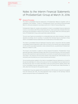# Notes to the Interim Financial Statements of ProSiebenSat.1 Group at March 31, 2016

#### General Principles **1**

The interim consolidated financial statements of ProSiebenSat.1 Media SE (together with its subsidiaries "the Company," "Group" or "ProSiebenSat.1 Group") as of and for the period ended March 31, 2016 were prepared in accordance with IAS 34 "Interim Financial Reporting".

ProSiebenSat.1 Media SE compiles and publishes its interim consolidated financial statements in euros, in accordance with IFRS as endorsed by the EU. Unless specifically indicated otherwise, all amounts are presented in millions of euro (EUR m). The figures reflect the continuing operations of ProSiebenSat.1 Group unless specifically stated otherwise.

The prior-year figures are presented on a comparable basis and, where necessary, have been adjusted accordingly. Due to rounding, it is possible that individual figures presented in these interim consolidated financial statements do not add exactly to the totals shown.

The interim consolidated financial statements should be read in conjunction with the audited consolidated financial statements under IFRS as of and for the financial year ended December 31, 2015, and the associated explanatory notes contained therein, as published by ProSiebenSat.1 Media SE on March 15, 2016.

The Group's core business is subject to strong seasonal fluctuations. ProSiebenSat.1 Group generally generates a disproportionately high share of its annual revenues in the fourth quarter because both propensity to spend and television use tend to rise significantly during the Christmas season. The results for the first three months of the financial year 2016 therefore do not necessarily permit predictions as to future business performance.

The accounting policies applied in the interim consolidated financial statements as of and for the period ended March 31, 2016 are the same as for the consolidated financial statements for the financial year 2015. For further information on the accounting policies applied, please refer to the consolidated financial statements as of and for the financial year ended December 31, 2015, which form the basis for this quarterly report.

ProSiebenSat.1 Group has applied all the amendments to IFRS that were required to be applied from the financial year 2016. The initial application had no impact on the earnings, financial position and performance of ProSiebenSat.1 Group.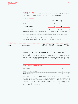

#### Scope of consolidation

The number of consolidated subsidiaries included in the interim consolidated financial statements changed as follows in the first three months of the financial year 2016:

| <b>Consolidated subsidiaries</b> |         |                 |  |
|----------------------------------|---------|-----------------|--|
|                                  | Germany | Other countries |  |
| Included at December 31, 2015    |         |                 |  |
| <b>Additions</b>                 |         |                 |  |
|                                  |         |                 |  |
| Included at March 31, 2016       |         |                 |  |

In addition to the fully consolidated entities, 16 associates (December 31, 2015: 15) and three joint ventures (December 31, 2015: 3) were accounted for using the equity method in the interim consolidated financial statements as of and for the period ended March 31, 2016. Five (December 31, 2015: 5) subsidiaries with suspended or only minor business activities are not consolidated.

#### Acquisitions in the first quarter of financial year 2016

The following key entities were acquired in the first quarter of financial year 2016:

| <b>Significant Acquisitions</b>                        |                                                                                                                     |                           |                                |               |                           |
|--------------------------------------------------------|---------------------------------------------------------------------------------------------------------------------|---------------------------|--------------------------------|---------------|---------------------------|
| Company                                                | Purpose of the company                                                                                              | Acquired<br>voting rights | Percentage of<br>consolidation | Contract date | Acquisition of<br>control |
| Dorsey Pictures LLC (formerly:<br>Orion Entertainment) | US producer of non-scripted TV programs<br>and branded entertainment offerings in the<br>"outdoor adventure" genre. | 60.0%                     | 100.0%                         | 01/15/2016    | 01/15/2016                |

#### Acquisition of a share of 60% in Dorsey Pictures LLC (formerly Orion Entertainment)

As of January 15, 2016, ProSiebenSat.1 Group acquired a share of 60% in Dorsey Pictures LLC, Denver, USA and therefore gained control over this entity. The entity and its subsidiaries are allocated to the Content Production & Global Sales segment (see Note 3 "Segment reporting"). Incidental costs of acquisition of EUR 1 million were incurred in connection with the acquisition of this entity.

The purchase price per IFRS 3 is made up of the following elements:

#### **Dorsey Pictures LLC — Purchase Price per IFRS 3**

|                                       | EURm |
|---------------------------------------|------|
| Cash purchase price                   |      |
| Variable consideration                |      |
| Contingent consideration - put option |      |
| Purchase price per IFRS 3             |      |

The contingent purchase price component is made up of a put option agreed with the existing shareholders for the purchase of another 40% of shares due not earlier than 2021 and is measured on the basis of a contractually defined multiplier. Its fair value was USD 20 million (EUR 18 million) as of the reporting date. On the basis of sensitivity analyses performed, ProSiebenSat.1 Group expects the pro rata enterprise value to range from USD 26 million to USD 28 million (EUR 24 million to EUR 25 million) as of the acquisition date.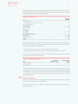The table below shows the values of the identified assets acquired and liabilities assumed in connection with the acquisition as at the acquisition date. The amounts below were provisionally measured until a fully independent valuation will be completed.

| <b>Acquisition Dorsey Pictures LLC</b>              |                              |
|-----------------------------------------------------|------------------------------|
| EUR <sub>m</sub>                                    | Fair value at<br>acquisition |
| Other intangible assets                             |                              |
| Thereof identified in the purchase price allocation | 22                           |
| Property, plant and equipment                       |                              |
| Non-current assets                                  | 23                           |
| Programming assets                                  |                              |
| Trade receivables                                   | r                            |
| <b>Current assets</b>                               |                              |
| Other liabilities                                   |                              |
| Current liabilities and provisions                  |                              |
| Total net assets                                    | 27                           |
| Purchase price per IFRS 3                           | 46                           |
| Goodwill                                            | l 9                          |

The identified goodwill is tax deductible over 15 years in the amount of the acquired share of 60 % and is recorded in the functional currency, the US dollar. It is particularly attributable to the following areas in relation to the acquisition:

- > Expansion of the business in non-scripted and branded entertainment;
- > Expected synergies resulting from the connection to the existing distribution network.

In the context of the purchase price allocation, the following other intangible assets identified were recognized separately from goodwill:

| <b>Purchase price allocatio Dorsey Pictures LLC</b> |                                       |                                  |
|-----------------------------------------------------|---------------------------------------|----------------------------------|
| Asset                                               | Fair Value at<br>acquisition in EUR m | Expected useful life<br>in years |
| Customer relationships                              |                                       | $10 - 15$                        |
| Shows in production                                 |                                       |                                  |

Including the entity from the beginning of the financial year until the initial consolidation in January 2016 would not have had a significant impact on the earnings, financial position and performance of ProSiebenSat.1 Group. Since the initial consolidation until March 31, 2016, the entity contributed revenues of USD 6 million (EUR 5 million) and earnings after taxes of USD 1 million (EUR 0 million) to consolidated net profit.

# **3**

#### Segment reporting

The Group is divided into the three reporting segments "Broadcasting German-speaking," "Digital & Adjacent" and "Content Production & Global Sales."

The following table contains the segment information relating to the continuing operations of ProSiebenSat.1 Group: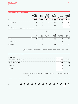#### **Segment information of ProSiebenSat.1 Group**

|                   | Broadcasting<br>German- | Segment<br>ital &<br>Dia | ∴∩n<br>tion &<br>Sales | Total   | Other | Total<br>าcıal                    |
|-------------------|-------------------------|--------------------------|------------------------|---------|-------|-----------------------------------|
| EUR m             | 01 2016                 | 01 2016                  | 01 2016                | 01 2016 | 2016  | 01 2016                           |
| Revenues          | 514                     | 246                      | 76                     | 83      | $-3b$ | 802                               |
| External revenues | $49^{\circ}$            |                          | 63                     | 798     |       | 802                               |
| Internal revenues |                         |                          |                        |         |       |                                   |
| <b>FBITDA</b>     |                         |                          |                        | 163     | -     | 162                               |
| Recurring EBITDA  | l 31                    |                          |                        |         |       | **************************<br>170 |

**1** This information is provided on a voluntary basis as part of segment reporting.

|                                                                                  | Broadcasting<br>German- | sea<br>tal &<br>Dia | ∵ontent<br>tion & | Total          |       | rotal   |
|----------------------------------------------------------------------------------|-------------------------|---------------------|-------------------|----------------|-------|---------|
| FUR <sub>m</sub>                                                                 | <br>01 2015             | O 1.<br>2015        | 01 2015           | 2015           | 2015  | 2015    |
| Revenues                                                                         | 488                     | 41                  | 56                | 683            | $-28$ | 655<br> |
| External revenues                                                                |                         |                     |                   | 655            | -     |         |
| Internal revenues                                                                |                         |                     |                   | 28             | -28   |         |
| <b>FBITDA</b>                                                                    |                         |                     |                   | $\overline{A}$ | -     | 146     |
| Recurring EBITDA                                                                 | 126                     |                     |                   |                |       | <br>153 |
| 1 This information is provided on a voluntary basis as part of segment reporting |                         |                     |                   |                |       |         |

The reconciliation between the segment values and the consolidated values for continuing operations is shown below:

| ciliation of segment information<br>Reci |      |      |
|------------------------------------------|------|------|
|                                          | 2016 | 2015 |
| <b>RECURRING EBITDA</b>                  |      |      |
| Recurring EBITDA of reportable segments  |      |      |
| <b>Fliminations</b>                      |      |      |
| Recurring EBITDA of the Group            | 70   | 153  |
| Non-recurring result                     |      |      |
| Financial result                         |      |      |
| Depreciation and amortization            |      | -28  |
| Impairment                               |      |      |
| Consolidated profit before taxes         |      |      |

Entity-wide disclosures for ProSiebenSat.1 Group are provided below. These disclosures also relate to the Group's continuing operations:

|                   | GEF               |            | AT/CH      |                   | UK         |            | บร                |            |            |            | Other      |            | Total consoli-<br>dated financial |            |
|-------------------|-------------------|------------|------------|-------------------|------------|------------|-------------------|------------|------------|------------|------------|------------|-----------------------------------|------------|
| EUR m             | <b>Q1</b><br>2016 | Q1<br>2015 | Q1<br>2016 | <b>Q1</b><br>2015 | 01<br>2016 | Q1<br>2015 | <b>Q1</b><br>2016 | Q1<br>2015 | 01<br>2016 | 01<br>2015 | Q1<br>2016 | Q1<br>2015 | 01<br>2016                        | Q1<br>2015 |
| External Revenues | 63                | 555        | 56         | 55                |            | b          | 66                | 34         | 40         |            |            |            | 802                               | 655        |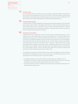| <b>INTERIM CONSOLIDATED</b>    |
|--------------------------------|
| <b>FINANCIAL STATEMENTS</b>    |
| <b>Notes</b>                   |
| 4 Income taxes                 |
| <b>5</b> Programming assets    |
| <b>6</b> Financial instruments |

#### Income taxes **4**

The nominal tax rate that is relevant for the Group remained unchanged at 28.0%. For the calculation of the Group's tax expenses for the first three months of 2016, the effective Group tax rate expected for the full financial year of 31.5% (previous year: 29.5%) was used. The difference from the nominal tax rate is largely attributable to non-deductible operating expenses.

#### Programming assets **5**

In the first quarter of 2016, ProSiebenSat.1 Group acquired programming assets of EUR 278 million (previous year: EUR 317 million). The additions include free-TV rights of EUR 206 million (previous year: EUR 253 million), other TV rights such as pay TV, video-on-demand and mobile TV rights of EUR 17 million (previous year: EUR 10 million) in addition to advance payments made in the amount of EUR 55 million (previous year: EUR 54 million).

#### Financial instruments **6**

ProSiebenSat.1 Group is exposed to a variety of financial risks in its operating business, such as foreign currency risk, interest rate risk, credit risk and liquidity risk. The Group's financial risk management strategy and the methods to determine the fair value of certain financial instruments have not changed materially since the end of the financial year 2015. The Annual Report 2015 contains the financial instrument disclosures (see "Further notes on financial risk management and financial instruments according to IFRS 7", Note 35). In March 2016, the Group also concluded interest rate options of EUR 1,400 million to hedge the interest rate risk in the period from 2018 to 2020. In addition, interest rate options were concluded to limit the risk arising from the current negative interest. Thereof, EUR 850 million relate to the period from 2016 to 2018 and EUR 500 million relate to the period from 2018 to 2020.

The table below shows the carrying amounts and fair values of all categories of financial assets and liabilities of ProSiebenSat.1 Group. The fair value hierarchy reflects the significance of the input data used for measurement and is organized as follows:

- > (Unadjusted) quoted prices on active markets for identical assets or liabilities (Level 1),
- > Input data for the asset or liability that are observable either directly (as prices) or indirectly (derived from prices) but that are not quoted prices as in Level 1 (Level 2),
- > Input data used for the asset or liability that are not based on observable market data (nonobservable input data) (Level 3).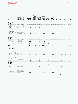## **Carrying amounts and fair values of financial instruments as per March 31, 2016**

|                                                              |                                                                  |                    |                                                   | <b>Fair Value</b>           |                                  |                        |                                          |         |                |                 |              |
|--------------------------------------------------------------|------------------------------------------------------------------|--------------------|---------------------------------------------------|-----------------------------|----------------------------------|------------------------|------------------------------------------|---------|----------------|-----------------|--------------|
| EUR m                                                        | Presented in the<br>Statement of<br><b>Financial Position as</b> | Carrying<br>amount | At fair<br>value<br>through<br>profit<br>and loss | Hedging<br>instru-<br>ments | Loans<br>and<br>receiv-<br>ables | Available-<br>for-sale | Other<br>financial<br><b>liabilities</b> | Level 1 |                | Level 2 Level 3 | <b>Total</b> |
| <b>Financial assets</b>                                      |                                                                  |                    |                                                   |                             |                                  |                        |                                          |         |                |                 |              |
| Measured at<br>fair value                                    |                                                                  |                    |                                                   |                             |                                  |                        |                                          |         |                |                 |              |
| Financial assets<br>designated at fair<br>value <sup>1</sup> | Non-current financial<br>assets                                  | 20                 | 20                                                | $-/-$                       | $-/-$                            | -/-                    | $-/-$                                    | 20      | $-/-$          | $-/-$           | 20           |
| Other equity<br>instruments                                  | Non-current financial<br>assets                                  | 90                 | 90                                                | $-/-$                       | $-/-$                            | $-/-$                  | $-/-$                                    | $-/-$   | $-/-$          | 90              | 90           |
| Derivatives for which<br>hedge accounting is<br>not applied  | Current and non-cur-<br>rent financial assets                    | 15                 | 15                                                | $-/-$                       | $-/-$                            | -/-                    | $-/-$                                    | $-/-$   | $\overline{4}$ | 11              | 15           |
| Hedge derivatives                                            | Current and non-cur-<br>rent financial assets                    | 181                | $-/-$                                             | 181                         | $-/-$                            | $-/-$                  | $-/-$                                    | $-/-$   | 181            | $-/-$           | 181          |
| Not measured at<br>fair value                                |                                                                  |                    |                                                   |                             |                                  |                        |                                          |         |                |                 |              |
| Cash and cash<br>equivalents <sup>2</sup>                    | Cash and cash<br>equivalents                                     | 723                | $-/-$                                             | $-/-$                       | 723                              | -/-                    | -/-                                      |         |                |                 |              |
| Loans and<br>receivables <sup>2</sup>                        | Current and non-cur-<br>rent financial assets                    | 386                | $-/-$                                             | $-/-$                       | 386                              | -/-                    | $-/-$                                    |         |                |                 |              |
| Total                                                        |                                                                  | 1,415              | 126                                               | 181                         | 1,108                            | -/-                    | -/-                                      | 20      | 185            | 101             | 307          |
| <b>Financial Liabilities</b>                                 |                                                                  |                    |                                                   |                             |                                  |                        |                                          |         |                |                 |              |
| Measured at<br>fair value                                    |                                                                  |                    |                                                   |                             |                                  |                        |                                          |         |                |                 |              |
| Liabilities from put<br>options and earn-<br>outs            | Other financial<br>liabilities                                   | 300                | 300                                               | $-/-$                       | $-/-$                            | $-/-$                  | $-/-$                                    | $-/-$   | $-/-$          | 300             | 300          |
| Derivatives for which<br>hedge accounting is<br>not applied  | Other financial<br>liabilities                                   | $\mathbf 1$        | $\mathbf{1}$                                      | $-/-$                       | $-/-$                            | $-/-$                  | $-/-$                                    | $-/-$   | $\mathbf{1}$   | $-/-$           | 1            |
| Hedge derivatives                                            | Other financial<br>liabilities                                   | 55                 | $-/-$                                             | 55                          | $-/-$                            | $-/-$                  | $-/-$                                    | $-/-$   | 55             | $-/-$           | 55           |
| Not measured at<br>fair value                                |                                                                  |                    |                                                   |                             |                                  |                        |                                          |         |                |                 |              |
| Bank loans                                                   | Financial Debt                                                   | 2,081              | $-/-$                                             | $-$ / $-$                   | $-/-$                            | $-/-$                  | 2,081                                    | $-/-$   | 2,072          | $-/-$           | 2,072        |
| Notes                                                        | Financial Debt                                                   | 595                | $-/-$                                             | $-/-$                       | $-/-$                            | $-/-$                  | 595                                      | 627     | $-/-$          | -/-             | 627          |
| Liabilities from<br>finance leases                           | Other financial<br>liabilities                                   | 80                 | $-/-$                                             | $-/-$                       | $-/-$                            | $-/-$                  | 80                                       | $-/-$   | 84             | $-/-$           | 84           |
| Financial liabilities at<br>(amortised) cost <sup>2</sup>    | Other financial<br>liabilities and trade<br>payables             | 588                | $-/-$                                             | $-/-$                       | $-/-$                            | $-/-$                  | 588                                      |         |                |                 |              |
| Total                                                        |                                                                  | 3,700              | 301                                               | 55                          | -/-                              | -/-                    | 3,344                                    | 627     | 2,213          | 299             | 3,140        |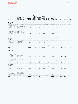## **Carrying amounts and fair values of financial instruments as per December 31, 2015**

|                                                                         |                                                                  |                    |                                                   |                             | Category                         |                        |                                   | <b>Fair Value</b> |                |                 |              |
|-------------------------------------------------------------------------|------------------------------------------------------------------|--------------------|---------------------------------------------------|-----------------------------|----------------------------------|------------------------|-----------------------------------|-------------------|----------------|-----------------|--------------|
| EUR m                                                                   | Presented in the<br>Statement of<br><b>Financial Position as</b> | Carrying<br>amount | At fair<br>value<br>through<br>profit<br>and loss | Hedging<br>instru-<br>ments | Loans<br>and<br>receiv-<br>ables | Available-<br>for-sale | Other<br>financial<br>liabilities | Level 1           |                | Level 2 Level 3 | <b>Total</b> |
| <b>Financial assets</b>                                                 |                                                                  |                    |                                                   |                             |                                  |                        |                                   |                   |                |                 |              |
| Measured at<br>fair value                                               |                                                                  |                    |                                                   |                             |                                  |                        |                                   |                   |                |                 |              |
| Financial assets<br>designated at fair<br>value <sup>1</sup>            | Non-current financial<br>assets                                  | 20                 | 20                                                | $-/-$                       | $-/-$                            | $-/-$                  | $-/-$                             | 20                | $-/-$          | $-/-$           | 20           |
| Other equity<br>instruments                                             | Non-current financial<br>assets                                  | 79                 | 79                                                | $-/-$                       | $-/-$                            | $-/-$                  | $-/-$                             | $-/-$             | $-/-$          | 79              | 79           |
| Derivatives for which Current and<br>hedge accounting is<br>not applied | non-current financial<br>assets                                  | 18                 | 18                                                | $-/-$                       | $-/-$                            | $-/-$                  | $-/-$                             | $-/-$             | $\overline{7}$ | 11              | 18           |
| Hedge derivatives                                                       | Current and<br>non-current financial<br>assets                   | 234                | $-/-$                                             | 234                         | $-/-$                            | $-/-$                  | $-/-$                             | $-/-$             | 234            | $-/-$           | 234          |
| Not measured at<br>fair value                                           |                                                                  |                    |                                                   |                             |                                  |                        |                                   |                   |                |                 |              |
| Cash and cash<br>equivalents <sup>2</sup>                               | Cash and cash<br>equivalents                                     | 734                | $-/-$                                             | -/-                         | 734                              | -/-                    | $-/-$                             |                   |                |                 |              |
| Loans and<br>receivables <sup>2</sup>                                   | Current and<br>non-current financial<br>assets                   | 397                | $-/-$                                             | $-/-$                       | 397                              | $-/-$                  | $-/-$                             |                   |                |                 |              |
| Total                                                                   |                                                                  | 1,482              | 116                                               | 234                         | 1,131                            | -/-                    | -/-                               | 20                | 241            | 89              | 350          |
| <b>Financial Liabilities</b>                                            |                                                                  |                    |                                                   |                             |                                  |                        |                                   |                   |                |                 |              |
| Measured at<br>fair value                                               |                                                                  |                    |                                                   |                             |                                  |                        |                                   |                   |                |                 |              |
| Liabilities from put<br>options and<br>earn-outs                        | Other financial<br>liabilities                                   | 289                | 289                                               | $-/-$                       | $-/-$                            | $-/-$                  | $-/-$                             | $-/-$             | $-/-$          | 289             | 289          |
| Derivatives for which<br>hedge accounting is<br>not applied             | Other financial<br>liabilities                                   | $\mathbf 0$        | $\mathbf 0$                                       | $-/-$                       | $-/-$                            | $-/-$                  | $-/-$                             | $-/-$             | $\mathbf 0$    | $-/-$           | $\pmb{0}$    |
| Hedge derivatives                                                       | Other financial<br>liabilities                                   | 52                 | $-/-$                                             | 52                          | $-/-$                            | $-/-$                  | $-/-$                             | $-/-$             | 52             | $-/-$           | 52           |
| Not measured at<br>fair value                                           |                                                                  |                    |                                                   |                             |                                  |                        |                                   |                   |                |                 |              |
| Bank loans                                                              | Financial Debt                                                   | 2,080              | $-/-$                                             | $-/-$                       | $-/-$                            | $-/-$                  | 2,080                             | $-/-$             | 2,055          | $-/-$           | 2,055        |
| Notes                                                                   | Financial Debt                                                   | 595                | $-/-$                                             | $-/-$                       | $-/-$                            | $-/-$                  | 595                               | 616               | $-/-$          | $-/-$           | 616          |
| Liabilities from<br>finance leases                                      | Other financial<br>liabilities                                   | 82                 | $-/-$                                             | $-/-$                       | $-/-$                            | $-/-$                  | 82                                | $-/-$             | 87             | $-/-$           | 87           |
| Financial liabilities at<br>(amortised) cost <sup>2</sup>               | Other financial<br>liabilities and trade<br>payables             | 599                | $-/-$                                             | $-/-$                       | $-/-$                            | $-/-$                  | 599                               |                   |                |                 |              |
| Total                                                                   |                                                                  | 3,698              | 290                                               | 52                          | -/-                              | -/-                    | 3,356                             | 616               | 2,195          | 289             | 3,100        |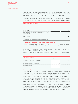**8** Share-based payments

The measurement method and input factors to determine the fair values of the financial instruments measured at fair value in the statement of financial position are essentially unchanged and can be found in the notes to the consolidated financial statements for the financial year 2015.

The following table shows the reconciliation of the respective fair values to the end of the reporting period for the items listed, which are regularly measured at fair value and assigned to level 3:

| FUR <sub>m</sub>                                                                                           | Derivatives, for which<br>hedge accounting<br>is not applied, at<br>fair value through<br>profit and loss | Liabilities from put<br>options and earn outs<br>at fair value through<br>profit and loss |
|------------------------------------------------------------------------------------------------------------|-----------------------------------------------------------------------------------------------------------|-------------------------------------------------------------------------------------------|
| January 1, 2016                                                                                            |                                                                                                           | 289                                                                                       |
| Results included in income statement as well as in other comprehensive<br>income (unrealized) <sup>1</sup> |                                                                                                           |                                                                                           |
| Additions from acquisitions                                                                                |                                                                                                           | ∣q                                                                                        |
| Disposals/Payments                                                                                         |                                                                                                           |                                                                                           |
| March 31, 2016                                                                                             |                                                                                                           | 300                                                                                       |

**1** This item includes compounding effects and further valuation adjustments.

# **7**

**8**

# Contingent liabilities and other financial obligations

There were no material changes as at March 31, 2016 regarding the contingent liabilities as reported in the consolidated financial statements under IFRS as at December 31, 2015.

At March 31, 2016, the Group's other financial obligations amounted to EUR 3,775 million (December 31, 2015: EUR 3,951 million). These obligations derive from contractual agreements entered into before the reporting date and pertain to payment obligations due after the reporting date.

| <b>Other financial obligations</b>          |       |                                  |
|---------------------------------------------|-------|----------------------------------|
| FUR <sub>m</sub>                            |       | March 31, 2016 December 31, 2015 |
| Purchase commitments for programming assets | 3.315 | 3.451                            |
| Distribution                                |       | 238                              |
| Leasing and long-term rental commitments    |       |                                  |
| Other financial obligations                 |       |                                  |
|                                             | 3.775 |                                  |

# Share-based payments

By resolution of March 11, 2016, the Supervisory Board of ProSiebenSat.1 Media SE exercised its option and resolved to settle the Group Share Plan 2012 in cash. This resolution to settle the plan exclusively in cash also relates to Group Share Plans 2013 to 2015. The Group has taken this resolution into account and changed its accounting for share-based payments from the Group Share Plans from equity settlement to cash settlement. Following this change, the amounts recognized in capital reserves for the Group Share Plans 2013 to 2015 were reclassified to other non-current provisions. As the Group Share Plan 2012 is due for payment in the second quarter of 2016, the relevant amount was reclassified to other current liabilities. In this context, the difference between the amounts recognized in equity and other provisions as well as other current liabilities at the time of the reclassification was recognized in equity. Otherwise, the plan conditions for the Group Share Plans are unchanged and still comply with the information presented in the notes to the consolidated financial statements and combined management report as at December 31, 2015.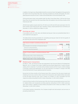In addition, the Supervisory Board determined the conversion factor that applies to the payment to be made for the Group Share Plan 2012. Assuming acceptance by all plan participants, the anticipated payment amounts to EUR 27 million and will take place in the second quarter 2016.

Of the performance share units granted under the other Group Share Plans, 1,261 from the Group Share Plan 2013 and 240 from the Group Share Plan 2014 expired in the first three months of the financial year 2016.

299,300 stock options issued under the LTIP 2010 (cycle 2010 and 2011) were exercised in the first three months of the financial year 2016. Therefore, treasury shares declined from 4,579,400 as of December 31, 2015 to 4,280,100 as of March 31, 2016..

#### Earnings per share **9**

In accordance with IAS 33.4A, basic and diluted earnings per share are presented below the income statement (see page 27).

The tables below show the parameters for calculating earnings per share for the first quarter of the reporting year and of the comparative year.

| Profit measures included in calculating earnings per share         |         |         |
|--------------------------------------------------------------------|---------|---------|
| FIIR <sub>m</sub>                                                  | 01 2016 | 01 2015 |
| Result attributable to the shareholders of ProSiebenSat 1 Media SF |         |         |
| Thereof from continuing operations                                 |         |         |
| Thereof from discontinued operations                               |         |         |

| Numbers of shares included in calculating earnings per share |         |                             |
|--------------------------------------------------------------|---------|-----------------------------|
| Shares                                                       | 01 2016 | 01 2015                     |
| Weighted average number of shares outstanding (basic)        |         | 214, 358, 816 213, 640, 345 |
| Dilution effect based on stock options and rights to shares  | 131.774 | 1,811,989                   |
| Weighted average number of shares outstanding (diluted)      |         | 214,490,591 215,452,334     |

# **10**

# Related party transactions

On March 1, 2016, Jan David Frouman was appointed to the Executive Board of ProSiebenSat.1 Media SE. He is in charge of the newly created Executive Board department, Content & Broadcasting, which comprises TV activities with all station brands and the Group's content strategy in Germany, Austria and Switzerland. As CEO and Chairman, he remains in charge of the Red Arrow Entertainment Group's global production business.

During the first three months of the financial year 2016, revenues from the sale of goods and rendering of services as well as other income from transactions with related entities amounted to EUR 28 million (previous year: EUR 27 million). As of March 31, 2016, receivables from the respective entities amounted to EUR 14 million (December 31, 2015: EUR 16 million).

In the first three months of the financial year 2016, the Group received goods and services from its related entities and recognized according expenses amounting to EUR 6 million (previous year: EUR 6 million). Liabilities to these entities amounted to EUR 4 million as of March 31, 2016 (December 31, 2015: EUR 9 million).

In the above business transactions, the Company bought and sold products and services on prevailing market terms.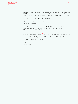The Executive Board of ProSiebenSat.1 Media SE exercised 82,000 stock options issued under the LTIP 2010 in the first three month of the financial year 2016, which had been granted to the respective Board members before their accession to the Executive Board. The relevant share sale was published on the ProSiebenSat.1 Group's website (www.prosiebensat1.com) in accordance with Section 15a of the German Securities Trading Act (WpHG).

In the first three months of financial year 2016, the members of the Supervisory Board acquired 3,999 shares in the Company.

There have been no other material changes or transactions in the first three months of the financial year 2016 in comparison with those described in the notes to the consolidated financial statements for the financial year 2015.

**11**

#### Events after the interim reporting period

No further reportable events of material effect on the earnings, financial position and performance of ProSiebenSat.1 Group or ProSiebenSat.1 Media SE occurred between the end of the first quarter of 2016 and April 18, 2016, the date of authorization of this quaterly statement for publication and forwarding to the Supervisory Board.

April 18, 2016 The Executive Board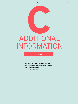# ADDITIONAL **Chapter**<br>DDITION INFORMATION

## **Content**

- **43 Group Key Figures: Multi-Year Overview**
- **44 Segment Key Figures: Multi-Year Overview**
- **45 Editorial Information**
- **46 Financial Calendar**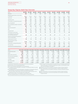## **Group Key Figures: Multi-Year Overview**

| EUR m                                                          | Q1 2016 | Q1 2015      | Q1 2014 | Q1 2013  | Q1 2012 | Q1 2011 | Q1 2010         | Q1 2009 | Q1 2008 | Q1 2007  |
|----------------------------------------------------------------|---------|--------------|---------|----------|---------|---------|-----------------|---------|---------|----------|
| Revenues                                                       | 802     | 655          | 581     | 563      | 499     | 596     | 658             | 627     | 729     | 501      |
| Revenue margin before income taxes<br>(in percent)             | 12.3    | 13.6         | 12.3    | 12.8     | 12.9    | 7.9     | 4.8             | $-1.1$  | $-1.2$  | 13.5     |
| Total costs                                                    | 684     | 541          | 477     | 462      | 399     | 511     | 574             | 578     | 683     | 432      |
| Operating costs <sup>1</sup>                                   | 636     | 506          | 447     | 438      | 379     | 467     | 532             | 536     | 644     | 422      |
| Consumption of programming assets                              | 237     | 231          | 220     | 229      | 219     | 262     | 278             | 278     | 354     | 248      |
| Recurring EBITDA <sup>2</sup>                                  | 170     | 153          | 140     | 128      | 122     | 130     | 129             | 94      | 89      | 82       |
| Recurring EBITDA margin (in percent)                           | 21.2    | 23.3         | 24.1    | 22.7     | 24.5    | 21.8    | 19.5            | 15.0    | 12.1    | 16.4     |
| <b>FBITDA</b>                                                  | 162     | 146          | 136     | 123      | 118     | 128     | 119             | 90      | 85      | 82       |
| Non-recurring items <sup>3</sup>                               | $-9$    | $-7$         | - 4     | $-5$     | - 4     | $-3$    | $-9$            | $-3$    | $-4$    | $\Omega$ |
| <b>EBIT</b>                                                    | 122     | 117          | 110     | 105<br>. | 102     | 86      | 87              | 59      | 50      | 72<br>.  |
| Financial result                                               | $-24$   | $-28$        | $-38$   | $-33$    | $-37$   | -39     | $-55^{9}$       | - 66    | - 58    | - 4      |
| Profit before income taxes                                     | 99      | 89           | 72      | 72       | 65      | 47      | 32 <sup>9</sup> | $-7$    | $-9$    | 68       |
| Consolidated net profit (after<br>non-controlling interests) 4 | 66      | 62           | 36      | 56       | 51      | 38      | 22 <sup>9</sup> | $-2$    | $-8$    | 41       |
| Profit from discontinued operations<br>(net of income taxes)   | 1       | $\mathbf{1}$ | $-13$   | 6        | 11      | 5       | $-/-$           | - / -   | $-/-$   | $-/-$    |
| Underlying net income <sup>5</sup>                             | 76      | 70           | 56      | 51       | 41      | 34      | 32 <sup>9</sup> | 12      | 6       | 42       |
| Basic earnings per share<br>(underlying) <sup>6</sup>          | 0.35    | 0.33         | 0.26    | 0.24     | $-/-$   | $-/-$   | $-/-$           | $-/-$   | $-/-$   | $-/-$    |
| Investments in programming assets                              | 277     | 317          | 254     | 282      | 269     | 349     | 398             | 380     | 352     | 270      |
| Free cash flow                                                 | $-3$    | $\Omega$     | $-146$  | $-22$    | $-93$   | $-141$  | $-139$          | $-103$  | $-73$   | 33       |
| Cash flow from investing activities                            | $-367$  | $-350$       | $-375$  | $-299$   | $-298$  | $-362$  | $-401$          | $-383$  | $-340$  | $-260$   |

| FUR m                        |       | 03/31/2016 03/31/2015 03/31/2014 03/31/2013 03/31/2012 03/31/2011 03/31/2010 03/31/2009 03/31/2008 03/31/2007 |            |            |       |       |                   |         |                    |       |
|------------------------------|-------|---------------------------------------------------------------------------------------------------------------|------------|------------|-------|-------|-------------------|---------|--------------------|-------|
| Programming assets           | 1.291 | 1,296                                                                                                         | 1.229      | 1,334      | 1,595 | 1,739 | 1,639             | 1.460   | 1,290              | 1,067 |
| Eauity                       | 903   | 935                                                                                                           | 633        | 1,594      | 1,476 | 1,094 | $657^9$           | $444^9$ | 1.012 <sup>9</sup> | 1,294 |
| Equity ratio (in percent)    | 16.9  | 22.2                                                                                                          | 17.9       | 28.8       | 29.3  | 17.4  | 10.6 <sup>9</sup> | 7.59    | 16.89              | 63.7  |
| Cash and cash equivalents    | 723   | 475                                                                                                           | 251        | 655        | 414   | 611   | 604               | 509     | 296                | 96    |
| <b>Financial liabilities</b> | 2.676 | 1,975                                                                                                         | 1,843      | 2.574      | 2.337 | 3,764 | 4,035             | 4,022   | 3,711              | 186   |
| Leverage                     | 2.1   | $1.7^{10}$                                                                                                    | $2.0^{11}$ | $2.1^{13}$ | 2.2   | 3.4   | 4.7               | 5.2     | 4.5                |       |
| Net financial debt           | 1,953 | 1,500                                                                                                         | 1.59212    | 1.82913    | 1.923 | 3.152 | 3.431             | 3,512   | 3.415              | 90    |
| <b>Employees</b>             | 5,713 | 4.256                                                                                                         | 3,654      | 3,205      | 2,605 | 4,253 | 4,801             | 5,460   | 5,985              | 3,062 |

**1** Total costs excl. depreciation and amortization and non-recurring expenses.

**2** EBITDA before non-recurring (exceptional) items.

**3** Non-recurring expenses netted against non-recurring income.

**4** Consolidated net profit attributable to shareholders of ProSiebenSat.1 Media SE including discontinued operations.

**5** Consolidated profit for the period attributable to shareholders of ProSiebenSat.1 Media SE before the effects of purchase price allocations and additional special items.

**6** Due to the merger of share classes in 2013, from this year on basic earnings per share (underlying) are shown. Prior year figures were not determined.

- **7** Ratio net financial debt to recurring EBITDA in the last twelve months.
- **8** Full-time equivalent positions as of reporting date from continuing operations.

**9** After changes in accounting policies according to IAS 8 and corresponding adjustment of previous-year figures. For information regarding the change in accounting policy, please refer to the Annual Report 2010, page 123.

**10** Adjusted for the LTM recurring EBITDA contribution of Eastern European operations.

**11** After reclassification of cash and cash equivalents of Eastern European operations.

Adjusted for the LTM recurring EBITDA contribution of Northern and Eastern European operations.

**12** After reclassification of cash and cash equivalents of Eastern European operations.

**13** Before reclassification of cash and cash equivalents from the Northern and Eastern European activities.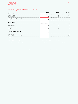## **Segment Key Figures: Multi-Year Overview**

| EUR m                                                                                                                                                | Q1 2016                                                                                                             | Q1 2015 | Q1 2014 |
|------------------------------------------------------------------------------------------------------------------------------------------------------|---------------------------------------------------------------------------------------------------------------------|---------|---------|
| <b>Broadcasting German-speaking</b>                                                                                                                  |                                                                                                                     |         |         |
| External revenues                                                                                                                                    | 493                                                                                                                 | 47.     | 449     |
| Recurring EBITDA <sup>1</sup>                                                                                                                        | 131                                                                                                                 | 126     | 120     |
| Recurring EBITDA margin (in percent) <sup>2</sup>                                                                                                    | 25.5                                                                                                                | 25.8    | 25.8    |
| <b>FBITDA</b>                                                                                                                                        | 126                                                                                                                 | 122     | 119     |
| Digital & Adjacent                                                                                                                                   |                                                                                                                     |         |         |
| External revenues                                                                                                                                    | 242                                                                                                                 | 138     | 106     |
| Recurring EBITDA <sup>1</sup>                                                                                                                        | 35                                                                                                                  | 27      | 24      |
| Recurring EBITDA margin (in percent) <sup>2</sup>                                                                                                    | 14.1                                                                                                                | 19.2    | 22.4    |
| <b>EBITDA</b>                                                                                                                                        | 32                                                                                                                  | 24      | 23      |
| <b>Content Production &amp; Global Sales</b>                                                                                                         |                                                                                                                     |         |         |
| External revenues                                                                                                                                    | 63                                                                                                                  | 46      | 26      |
| Recurring EBITDA <sup>1</sup>                                                                                                                        | 5                                                                                                                   |         | - 3     |
| Recurring EBITDA margin (in percent) <sup>2</sup>                                                                                                    | 7.0                                                                                                                 |         |         |
| <b>FBITDA</b>                                                                                                                                        | 5                                                                                                                   |         | - 3     |
| 1 EBITDA before non-recurring (exceptional) items.                                                                                                   | 2 Based on total segment revenues, see Note 3 "Segment reporting".                                                  |         |         |
| <b>Explanatory Notes on Reporting Principles:</b><br>The values shown relate to key figures from continuing operations reported in line with IFRS 5. | deconsolidation on February 25, 2014 (Hungary), April 2, 2014 (Romanian TV) and August 4,<br>2014 (Romanian radio). |         |         |

In connection with the strategic focusing on German-speaking television, the international program production and distribution business, and digital and adjacent business activities, the operations named below were deconsolidated as follows: Operations in Belgium and the Netherlands: Classification as discontinued operations since the second quarter of 2011, deconsolidation on June 8, 2011, and July 29, 2011, respectively.

Operations in Denmark, Sweden, Norway and Finland: Classification as discontinued operations since the fourth quarter of 2012, deconsolidation on April 9, 2013. Operations in Hungary and Romania: Classification as discontinued operations since the fourth quarter of 2012,

The income statement items of the operations in question were grouped together as a single line item, result from discontinued operations, and reported separately until their deconsolidation. In addition to the operating earnings generated until the time of the respective

deconsolidations, the result from discontinued operations shown after taxes also includes the corresponding results of deconsolidation. For the income statement and cash flow statement, the respective figures for the previous year were presented on a comparable basis in line with IFRS 5. No further adjustment of figures from earlier previous years was made. The figures in the respective previous years' statements of financial position were not adjusted.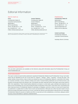# Editorial Information

#### How to reach us

Press ProSiebenSat.1 Media SE Corporate Communications Medienallee 7 85774 Unterföhring Phone +49 [89] 95 07 — 11 45 Fax +49 [89] 95 07 — 11 59 E-Mail: info@prosiebensat1.com

#### Investor Relations

ProSiebenSat.1 Media SE Investor Relations Medienallee 7 85774 Unterföhring Phone +49 [89] 95 07 — 15 02 Fax +49 [89] 95 07 — 15 21 E-Mail: aktie@prosiebensat1.com

Photocredits: Title © Dirk Bruniecki, © Michael Jungblut, © Urban Zintel, © Sina Bormüller (Fräulein Chaos) // Important Events Q1 2016, page 5, a) © Deutsche Börse AG, b) © Enno Kapitza, c) © Zattoo, d) © WKDA GmbH — wirkaufendeinauto.de, e) © Dorsey Pictures.

#### Published by

ProSiebenSat.1 Media SE Medienallee 7 85774 Unterföhring Phone +49 [89] 95 07 — 10 Fax +49 [89] 95 07 — 11 21 www.ProSiebenSat1.com HRB 219 439 AG München

#### Content and Design

ProSiebenSat.1 Media SE Corporate Communications

hw.design, Munich, Germany

**ProSiebenSat.1 Group on the Internet**

This and other publications are available on the Internet, along with information about the ProSiebenSat.1 Group, at www.ProSiebenSat1.com

#### **Forward-looking statements**

This report contains forward-looking statements regarding ProSiebenSat.1 Media SE and ProSiebenSat.1 Group. Such statements may be identified by the use of such terms as "expects," "intends," "plans," "assumes," "pursues the goal," and similar wording. Various factors, many of which are outside the control of ProSiebenSat.1 Media SE, could affect the Company's business activities, success, business strategy and results. Forward-looking statements are not historical facts, and therefore incorporate known and unknown risks, uncertainties and other important factors that might cause actual results to differ from expectations. These forward-looking statements are based on current plans, goals, estimates and projections, and take account of knowledge only up to and including the date of preparation of this report. Given these risks, uncertainties and other important factors, ProSiebenSat.1 Media SE undertakes no obligation, and has no intent, to revise such forward-looking statements or update them to reflect future events and developments. Although every effort has been made to ensure that the provided information and facts are correct, and that the opinions and expectations reflected here are reasonable, ProSiebenSat.1 Media SE assumes no liability and offers no warranty as to the completeness, correctness, adequacy and/or accuracy of any information or opinions contained herein.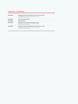# **FINANCIAL CALENDAR**

| Publication of the Quarterly Statement for the First Quarter of 2016<br>Press Release, Conference Call with analysts and investors,<br>Conference Call with journalists |
|-------------------------------------------------------------------------------------------------------------------------------------------------------------------------|
| Annual General Meeting 2016                                                                                                                                             |
| Dividend Payment                                                                                                                                                        |
| Publication of the Half-Yearly Financial Report of 2016<br>Press Release, Conference Call with analysts and investors,<br>Conference Call with journalists              |
| Publication of the Quarterly Statement for the Third Quarter of 2016<br>Press Release, Conference Call with analysts and investors,<br>Conference Call with journalists |
|                                                                                                                                                                         |